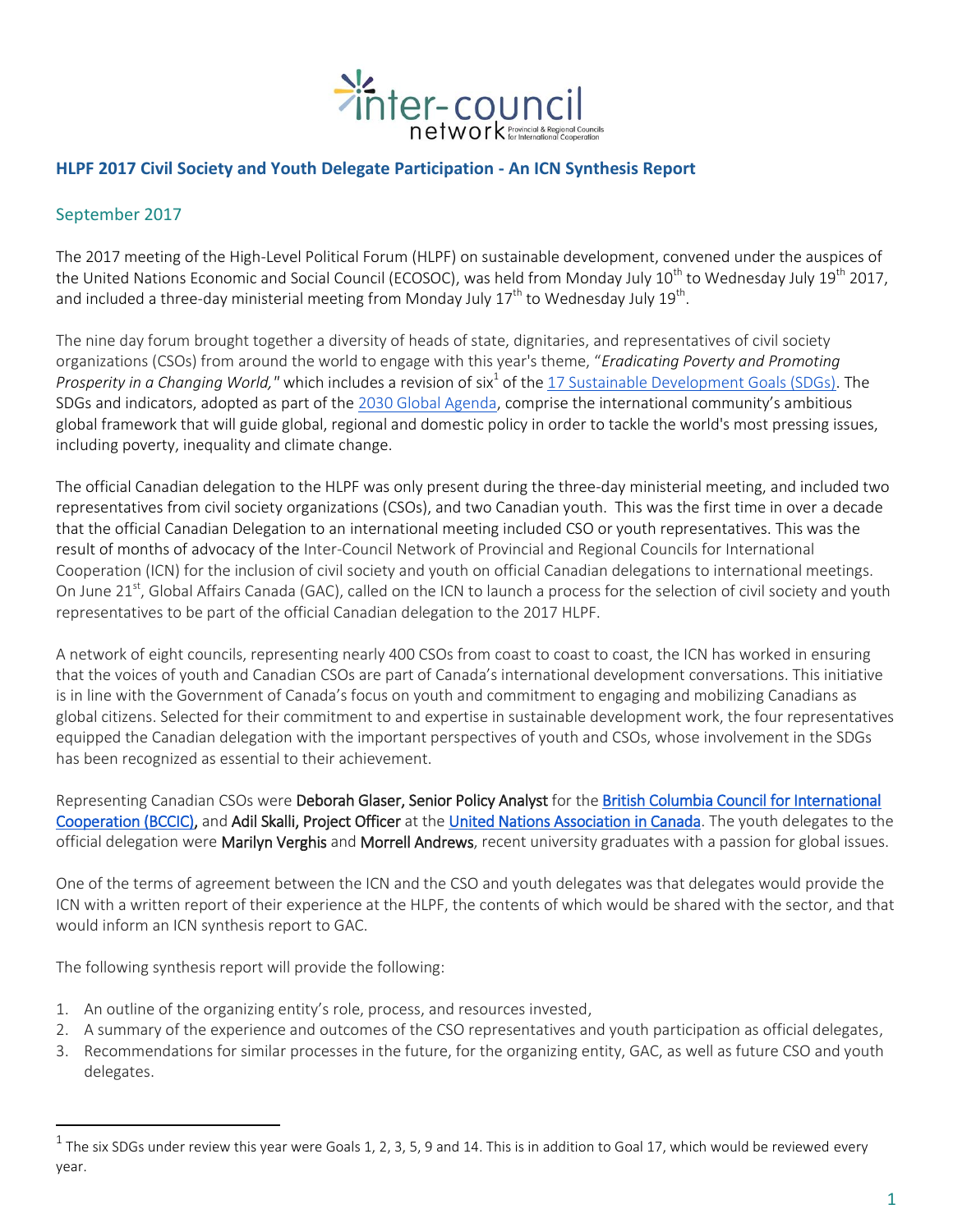

## **HLPF 2017 Civil Society and Youth Delegate Participation - An ICN Synthesis Report**

## September 2017

The 2017 meeting of the High-Level Political Forum (HLPF) on sustainable development, convened under the auspices of the United Nations Economic and Social Council (ECOSOC), was held from Monday July 10<sup>th</sup> to Wednesday July 19<sup>th</sup> 2017, and included a three-day ministerial meeting from Monday July 17<sup>th</sup> to Wednesday July 19<sup>th</sup>.

The nine day forum brought together a diversity of heads of state, dignitaries, and representatives of civil society organizations (CSOs) from around the world to engage with this year's theme, "*Eradicating Poverty and Promoting*  Prosperity in a Changing World," which includes a revision of six<sup>1</sup> of the <u>17 Sustainable Development Goals (SDGs)</u>. The SDGs and indicators, adopted as part of the [2030 Global Agenda,](https://sustainabledevelopment.un.org/post2015/transformingourworld) comprise the international community's ambitious global framework that will guide global, regional and domestic policy in order to tackle the world's most pressing issues, including poverty, inequality and climate change.

The official Canadian delegation to the HLPF was only present during the three-day ministerial meeting, and included two representatives from civil society organizations (CSOs), and two Canadian youth. This was the first time in over a decade that the official Canadian Delegation to an international meeting included CSO or youth representatives. This was the result of months of advocacy of the Inter-Council Network of Provincial and Regional Councils for International Cooperation (ICN) for the inclusion of civil society and youth on official Canadian delegations to international meetings. On June 21<sup>st</sup>, Global Affairs Canada (GAC), called on the ICN to launch a process for the selection of civil society and youth representatives to be part of the official Canadian delegation to the 2017 HLPF.

A network of eight councils, representing nearly 400 CSOs from coast to coast to coast, the ICN has worked in ensuring that the voices of youth and Canadian CSOs are part of Canada's international development conversations. This initiative is in line with the Government of Canada's focus on youth and commitment to engaging and mobilizing Canadians as global citizens. Selected for their commitment to and expertise in sustainable development work, the four representatives equipped the Canadian delegation with the important perspectives of youth and CSOs, whose involvement in the SDGs has been recognized as essential to their achievement.

Representing Canadian CSOs were Deborah Glaser, Senior Policy Analyst for the British Columbia Council for International [Cooperation \(BCCIC\),](http://bccic.ca/) and Adil Skalli, Project Officer at th[e United Nations Association in Canada.](http://unac.org/) The youth delegates to the official delegation were Marilyn Verghis and Morrell Andrews, recent university graduates with a passion for global issues.

One of the terms of agreement between the ICN and the CSO and youth delegates was that delegates would provide the ICN with a written report of their experience at the HLPF, the contents of which would be shared with the sector, and that would inform an ICN synthesis report to GAC.

The following synthesis report will provide the following:

 $\overline{a}$ 

- 1. An outline of the organizing entity's role, process, and resources invested,
- 2. A summary of the experience and outcomes of the CSO representatives and youth participation as official delegates,
- 3. Recommendations for similar processes in the future, for the organizing entity, GAC, as well as future CSO and youth delegates.

 $^1$  The six SDGs under review this year were Goals 1, 2, 3, 5, 9 and 14. This is in addition to Goal 17, which would be reviewed every year.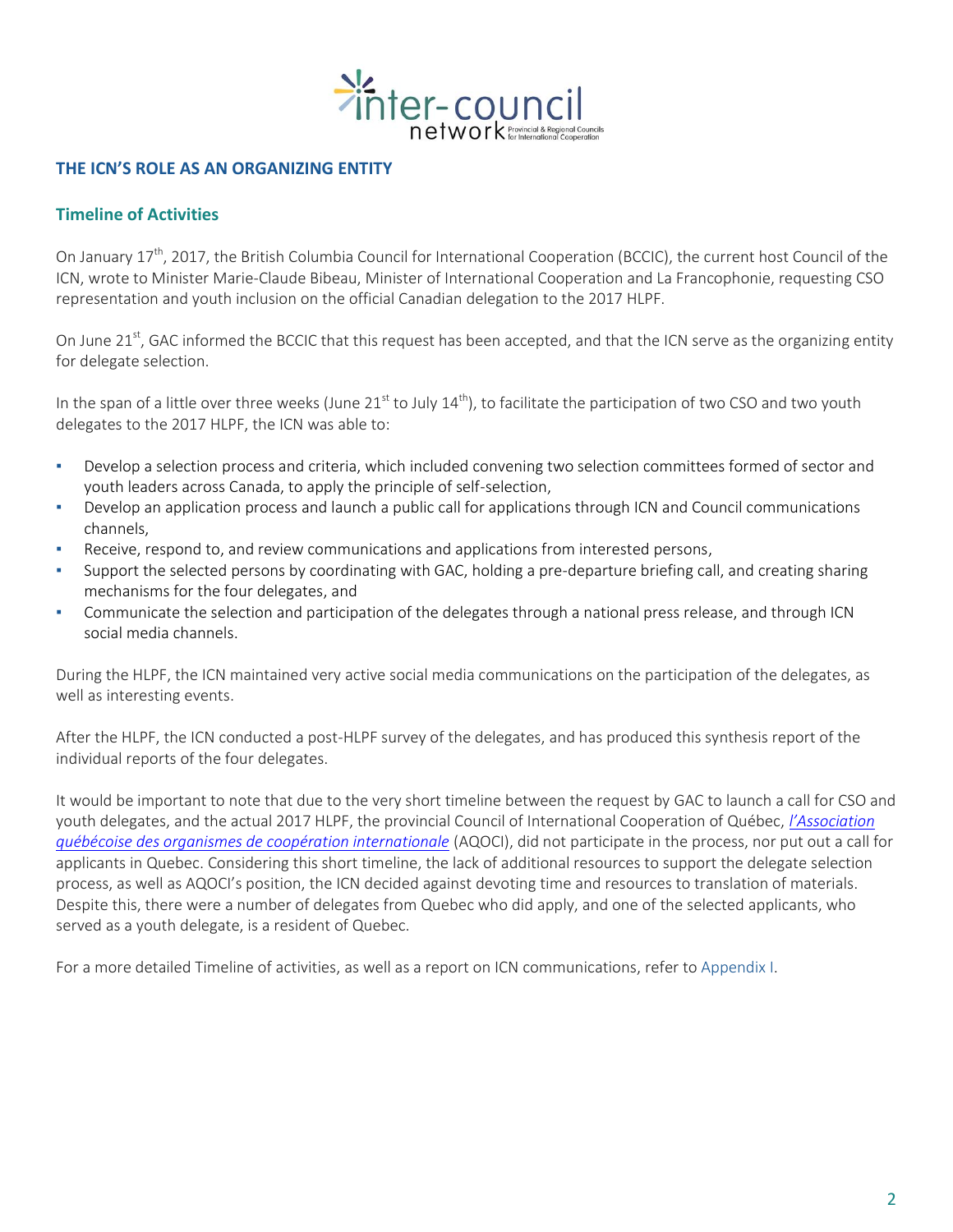

### **THE ICN'S ROLE AS AN ORGANIZING ENTITY**

#### **Timeline of Activities**

On January 17<sup>th</sup>, 2017, the British Columbia Council for International Cooperation (BCCIC), the current host Council of the ICN, wrote to Minister Marie-Claude Bibeau, Minister of International Cooperation and La Francophonie, requesting CSO representation and youth inclusion on the official Canadian delegation to the 2017 HLPF.

On June 21<sup>st</sup>, GAC informed the BCCIC that this request has been accepted, and that the ICN serve as the organizing entity for delegate selection.

In the span of a little over three weeks (June 21 $^{\text{st}}$  to July  $14^{\text{th}}$ ), to facilitate the participation of two CSO and two youth delegates to the 2017 HLPF, the ICN was able to:

- Develop a selection process and criteria, which included convening two selection committees formed of sector and youth leaders across Canada, to apply the principle of self-selection,
- Develop an application process and launch a public call for applications through ICN and Council communications channels,
- Receive, respond to, and review communications and applications from interested persons,
- Support the selected persons by coordinating with GAC, holding a pre-departure briefing call, and creating sharing mechanisms for the four delegates, and
- Communicate the selection and participation of the delegates through a national press release, and through ICN social media channels.

During the HLPF, the ICN maintained very active social media communications on the participation of the delegates, as well as interesting events.

After the HLPF, the ICN conducted a post-HLPF survey of the delegates, and has produced this synthesis report of the individual reports of the four delegates.

It would be important to note that due to the very short timeline between the request by GAC to launch a call for CSO and youth delegates, and the actual 2017 HLPF, the provincial Council of International Cooperation of Québec, *[l'Association](http://www.aqoci.qc.ca/)  [québécoise des organismes de coopération internationale](http://www.aqoci.qc.ca/)* (AQOCI), did not participate in the process, nor put out a call for applicants in Quebec. Considering this short timeline, the lack of additional resources to support the delegate selection process, as well as AQOCI's position, the ICN decided against devoting time and resources to translation of materials. Despite this, there were a number of delegates from Quebec who did apply, and one of the selected applicants, who served as a youth delegate, is a resident of Quebec.

For a more detailed Timeline of activities, as well as a report on ICN communications, refer to Appendix I.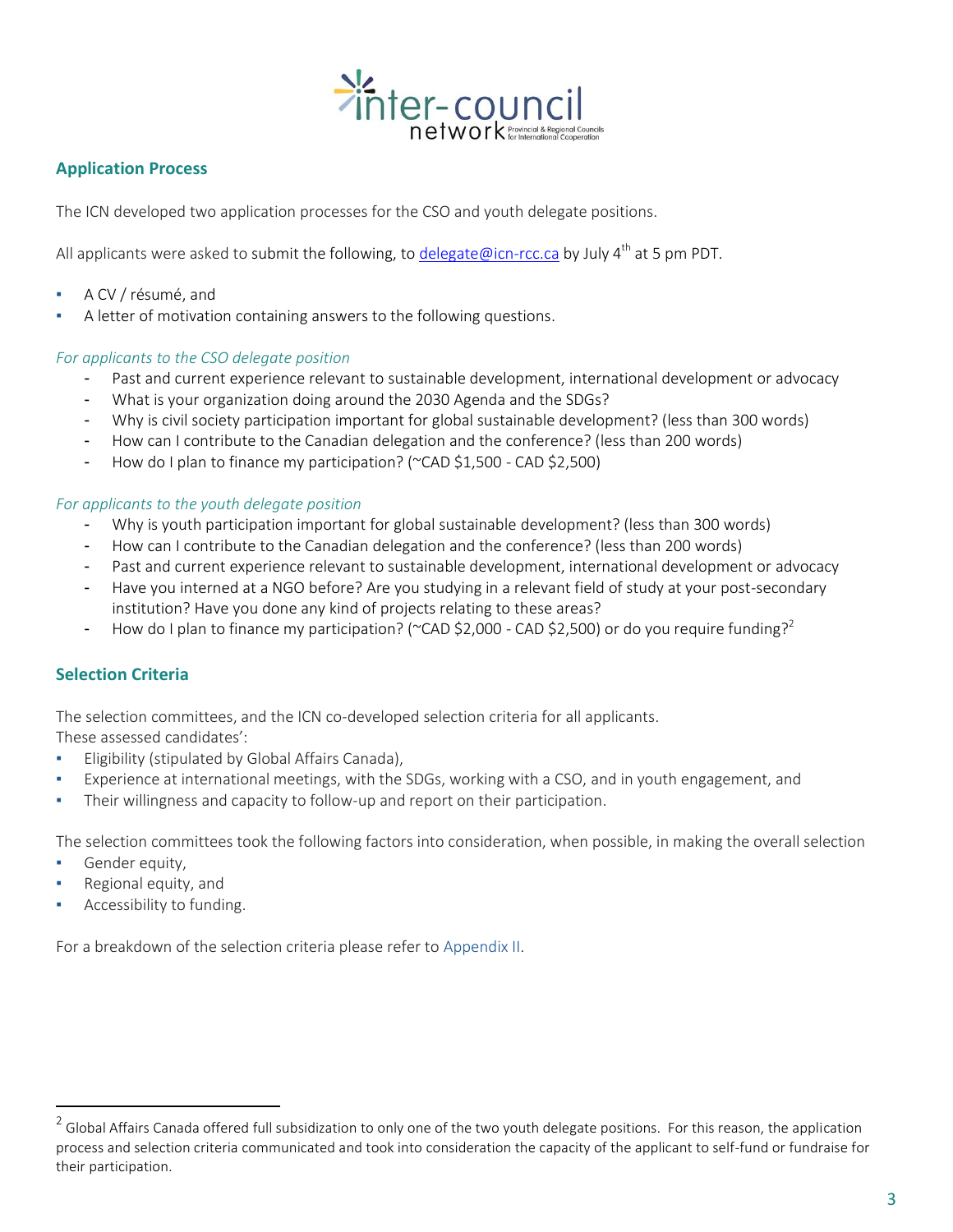

## **Application Process**

The ICN developed two application processes for the CSO and youth delegate positions.

All applicants were asked to submit the following, to [delegate@icn-rcc.ca](mailto:delegate@icn-rcc.ca) by July  $4^{th}$  at 5 pm PDT.

- A CV / résumé, and
- A letter of motivation containing answers to the following questions.

#### *For applicants to the CSO delegate position*

- Past and current experience relevant to sustainable development, international development or advocacy
- What is your organization doing around the 2030 Agenda and the SDGs?
- Why is civil society participation important for global sustainable development? (less than 300 words)
- How can I contribute to the Canadian delegation and the conference? (less than 200 words)
- How do I plan to finance my participation? (~CAD \$1,500 CAD \$2,500)

#### *For applicants to the youth delegate position*

- Why is youth participation important for global sustainable development? (less than 300 words)
- How can I contribute to the Canadian delegation and the conference? (less than 200 words)
- Past and current experience relevant to sustainable development, international development or advocacy
- Have you interned at a NGO before? Are you studying in a relevant field of study at your post-secondary institution? Have you done any kind of projects relating to these areas?
- How do I plan to finance my participation? (~CAD \$2,000 CAD \$2,500) or do you require funding?<sup>2</sup>

## **Selection Criteria**

The selection committees, and the ICN co-developed selection criteria for all applicants.

These assessed candidates':

- **•** Eligibility (stipulated by Global Affairs Canada),
- Experience at international meetings, with the SDGs, working with a CSO, and in youth engagement, and
- Their willingness and capacity to follow-up and report on their participation.

The selection committees took the following factors into consideration, when possible, in making the overall selection

Gender equity,

 $\overline{a}$ 

- Regional equity, and
- Accessibility to funding.

For a breakdown of the selection criteria please refer to Appendix II.

 $^2$  Global Affairs Canada offered full subsidization to only one of the two youth delegate positions. For this reason, the application process and selection criteria communicated and took into consideration the capacity of the applicant to self-fund or fundraise for their participation.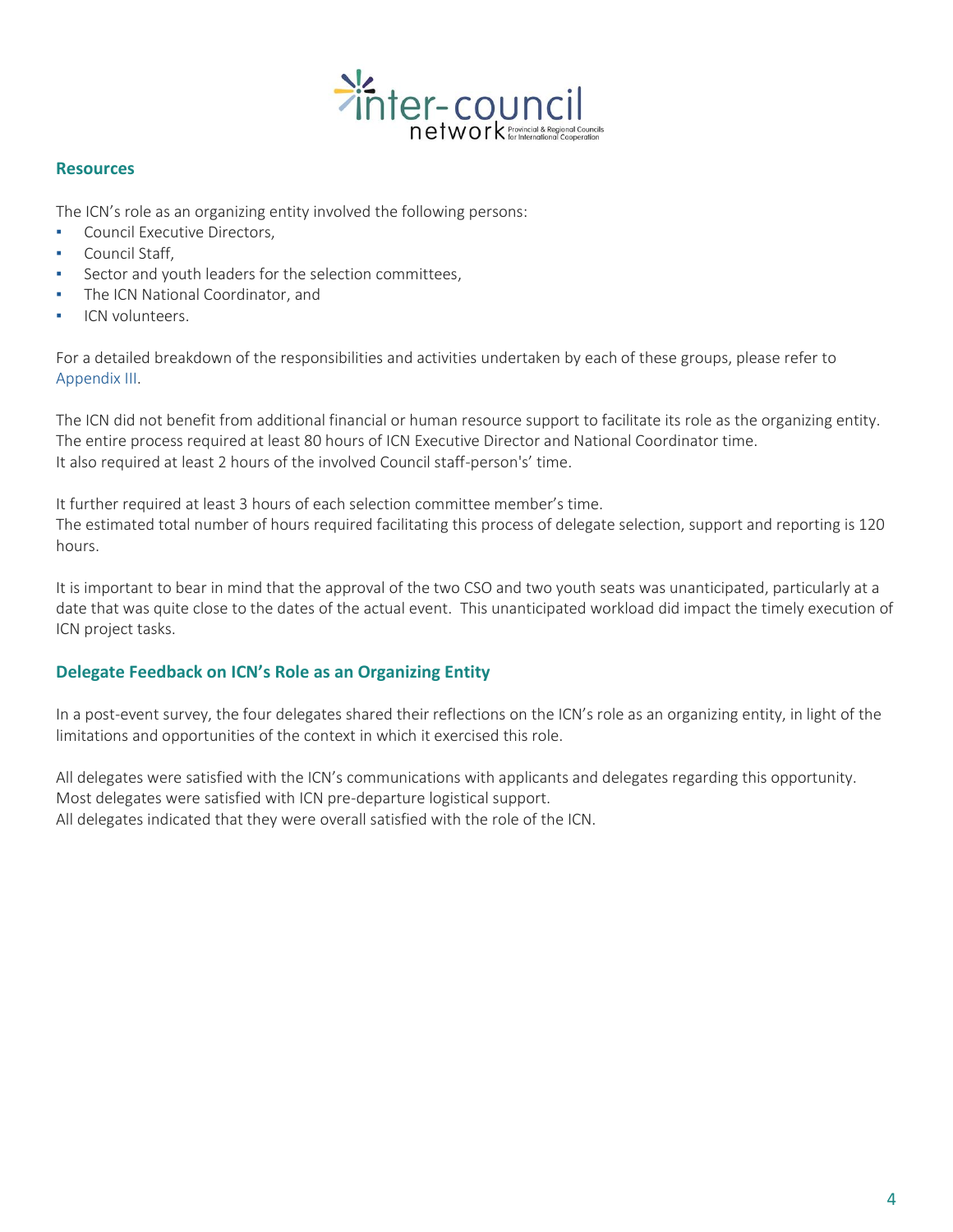

#### **Resources**

The ICN's role as an organizing entity involved the following persons:

- **Council Executive Directors,**
- Council Staff,
- Sector and youth leaders for the selection committees,
- The ICN National Coordinator, and
- ICN volunteers.

For a detailed breakdown of the responsibilities and activities undertaken by each of these groups, please refer to Appendix III.

The ICN did not benefit from additional financial or human resource support to facilitate its role as the organizing entity. The entire process required at least 80 hours of ICN Executive Director and National Coordinator time. It also required at least 2 hours of the involved Council staff-person's' time.

It further required at least 3 hours of each selection committee member's time.

The estimated total number of hours required facilitating this process of delegate selection, support and reporting is 120 hours.

It is important to bear in mind that the approval of the two CSO and two youth seats was unanticipated, particularly at a date that was quite close to the dates of the actual event. This unanticipated workload did impact the timely execution of ICN project tasks.

## **Delegate Feedback on ICN's Role as an Organizing Entity**

In a post-event survey, the four delegates shared their reflections on the ICN's role as an organizing entity, in light of the limitations and opportunities of the context in which it exercised this role.

All delegates were satisfied with the ICN's communications with applicants and delegates regarding this opportunity. Most delegates were satisfied with ICN pre-departure logistical support. All delegates indicated that they were overall satisfied with the role of the ICN.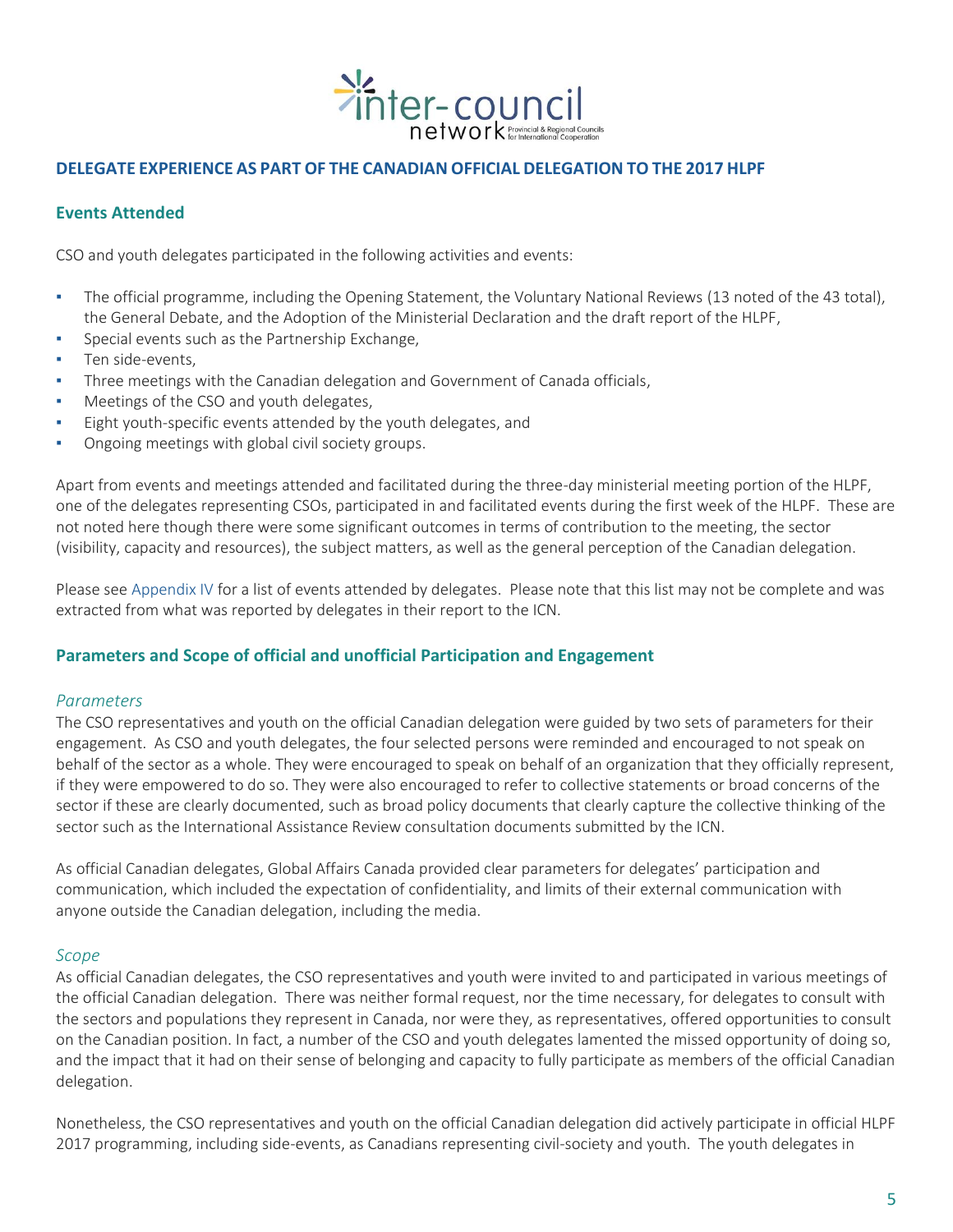

## **DELEGATE EXPERIENCE AS PART OF THE CANADIAN OFFICIAL DELEGATION TO THE 2017 HLPF**

### **Events Attended**

CSO and youth delegates participated in the following activities and events:

- The official programme, including the Opening Statement, the Voluntary National Reviews (13 noted of the 43 total), the General Debate, and the Adoption of the Ministerial Declaration and the draft report of the HLPF,
- Special events such as the Partnership Exchange,
- Ten side-events,
- Three meetings with the Canadian delegation and Government of Canada officials,
- Meetings of the CSO and youth delegates,
- Eight youth-specific events attended by the youth delegates, and
- Ongoing meetings with global civil society groups.

Apart from events and meetings attended and facilitated during the three-day ministerial meeting portion of the HLPF, one of the delegates representing CSOs, participated in and facilitated events during the first week of the HLPF. These are not noted here though there were some significant outcomes in terms of contribution to the meeting, the sector (visibility, capacity and resources), the subject matters, as well as the general perception of the Canadian delegation.

Please see Appendix IV for a list of events attended by delegates. Please note that this list may not be complete and was extracted from what was reported by delegates in their report to the ICN.

#### **Parameters and Scope of official and unofficial Participation and Engagement**

#### *Parameters*

The CSO representatives and youth on the official Canadian delegation were guided by two sets of parameters for their engagement. As CSO and youth delegates, the four selected persons were reminded and encouraged to not speak on behalf of the sector as a whole. They were encouraged to speak on behalf of an organization that they officially represent, if they were empowered to do so. They were also encouraged to refer to collective statements or broad concerns of the sector if these are clearly documented, such as broad policy documents that clearly capture the collective thinking of the sector such as the International Assistance Review consultation documents submitted by the ICN.

As official Canadian delegates, Global Affairs Canada provided clear parameters for delegates' participation and communication, which included the expectation of confidentiality, and limits of their external communication with anyone outside the Canadian delegation, including the media.

#### *Scope*

As official Canadian delegates, the CSO representatives and youth were invited to and participated in various meetings of the official Canadian delegation. There was neither formal request, nor the time necessary, for delegates to consult with the sectors and populations they represent in Canada, nor were they, as representatives, offered opportunities to consult on the Canadian position. In fact, a number of the CSO and youth delegates lamented the missed opportunity of doing so, and the impact that it had on their sense of belonging and capacity to fully participate as members of the official Canadian delegation.

Nonetheless, the CSO representatives and youth on the official Canadian delegation did actively participate in official HLPF 2017 programming, including side-events, as Canadians representing civil-society and youth. The youth delegates in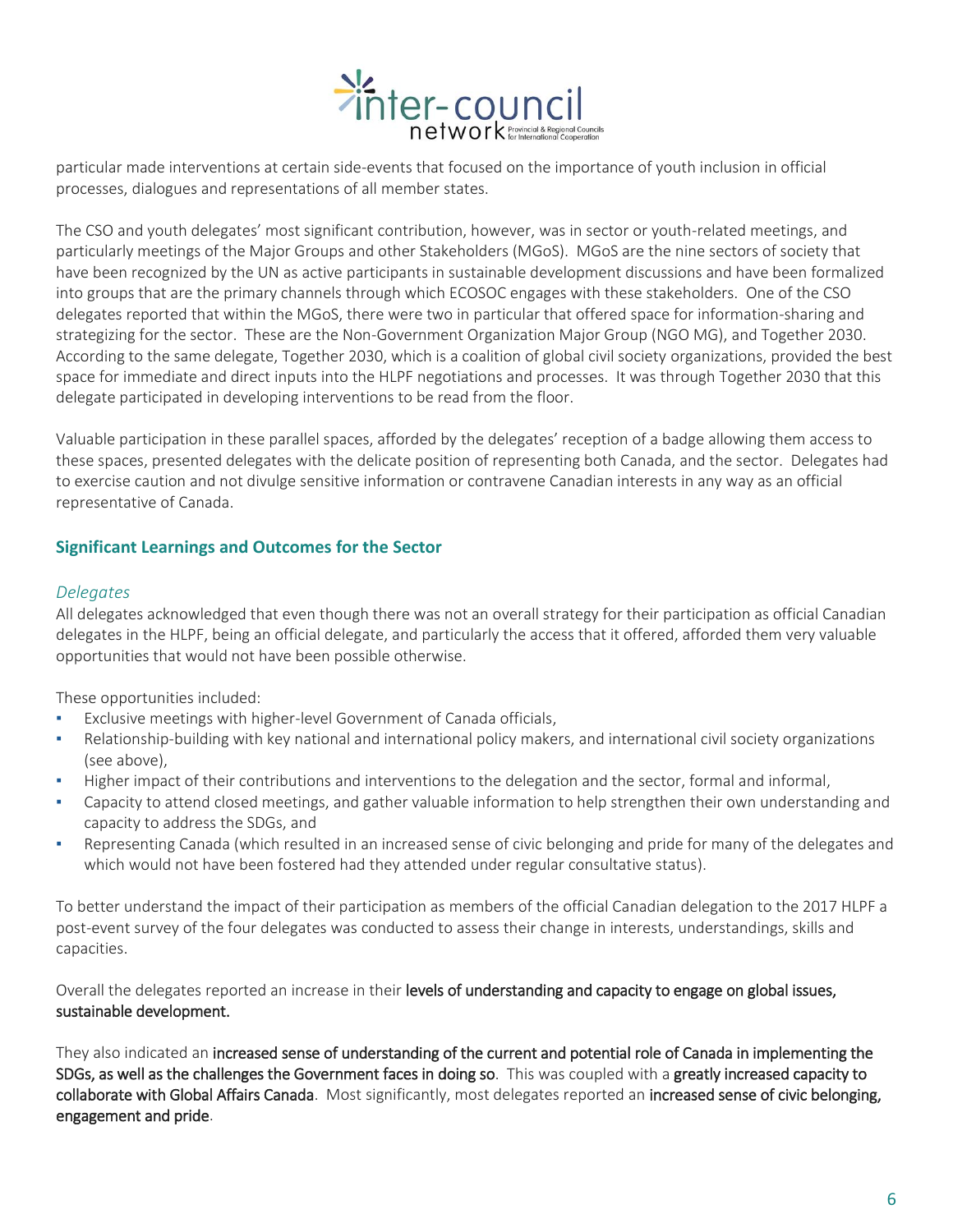

particular made interventions at certain side-events that focused on the importance of youth inclusion in official processes, dialogues and representations of all member states.

The CSO and youth delegates' most significant contribution, however, was in sector or youth-related meetings, and particularly meetings of the Major Groups and other Stakeholders (MGoS). MGoS are the nine sectors of society that have been recognized by the UN as active participants in sustainable development discussions and have been formalized into groups that are the primary channels through which ECOSOC engages with these stakeholders. One of the CSO delegates reported that within the MGoS, there were two in particular that offered space for information-sharing and strategizing for the sector. These are the Non-Government Organization Major Group (NGO MG), and Together 2030. According to the same delegate, Together 2030, which is a coalition of global civil society organizations, provided the best space for immediate and direct inputs into the HLPF negotiations and processes. It was through Together 2030 that this delegate participated in developing interventions to be read from the floor.

Valuable participation in these parallel spaces, afforded by the delegates' reception of a badge allowing them access to these spaces, presented delegates with the delicate position of representing both Canada, and the sector. Delegates had to exercise caution and not divulge sensitive information or contravene Canadian interests in any way as an official representative of Canada.

## **Significant Learnings and Outcomes for the Sector**

#### *Delegates*

All delegates acknowledged that even though there was not an overall strategy for their participation as official Canadian delegates in the HLPF, being an official delegate, and particularly the access that it offered, afforded them very valuable opportunities that would not have been possible otherwise.

These opportunities included:

- Exclusive meetings with higher-level Government of Canada officials,
- Relationship-building with key national and international policy makers, and international civil society organizations (see above),
- Higher impact of their contributions and interventions to the delegation and the sector, formal and informal,
- Capacity to attend closed meetings, and gather valuable information to help strengthen their own understanding and capacity to address the SDGs, and
- Representing Canada (which resulted in an increased sense of civic belonging and pride for many of the delegates and which would not have been fostered had they attended under regular consultative status).

To better understand the impact of their participation as members of the official Canadian delegation to the 2017 HLPF a post-event survey of the four delegates was conducted to assess their change in interests, understandings, skills and capacities.

Overall the delegates reported an increase in their levels of understanding and capacity to engage on global issues, sustainable development.

They also indicated an increased sense of understanding of the current and potential role of Canada in implementing the SDGs, as well as the challenges the Government faces in doing so. This was coupled with a greatly increased capacity to collaborate with Global Affairs Canada. Most significantly, most delegates reported an increased sense of civic belonging, engagement and pride.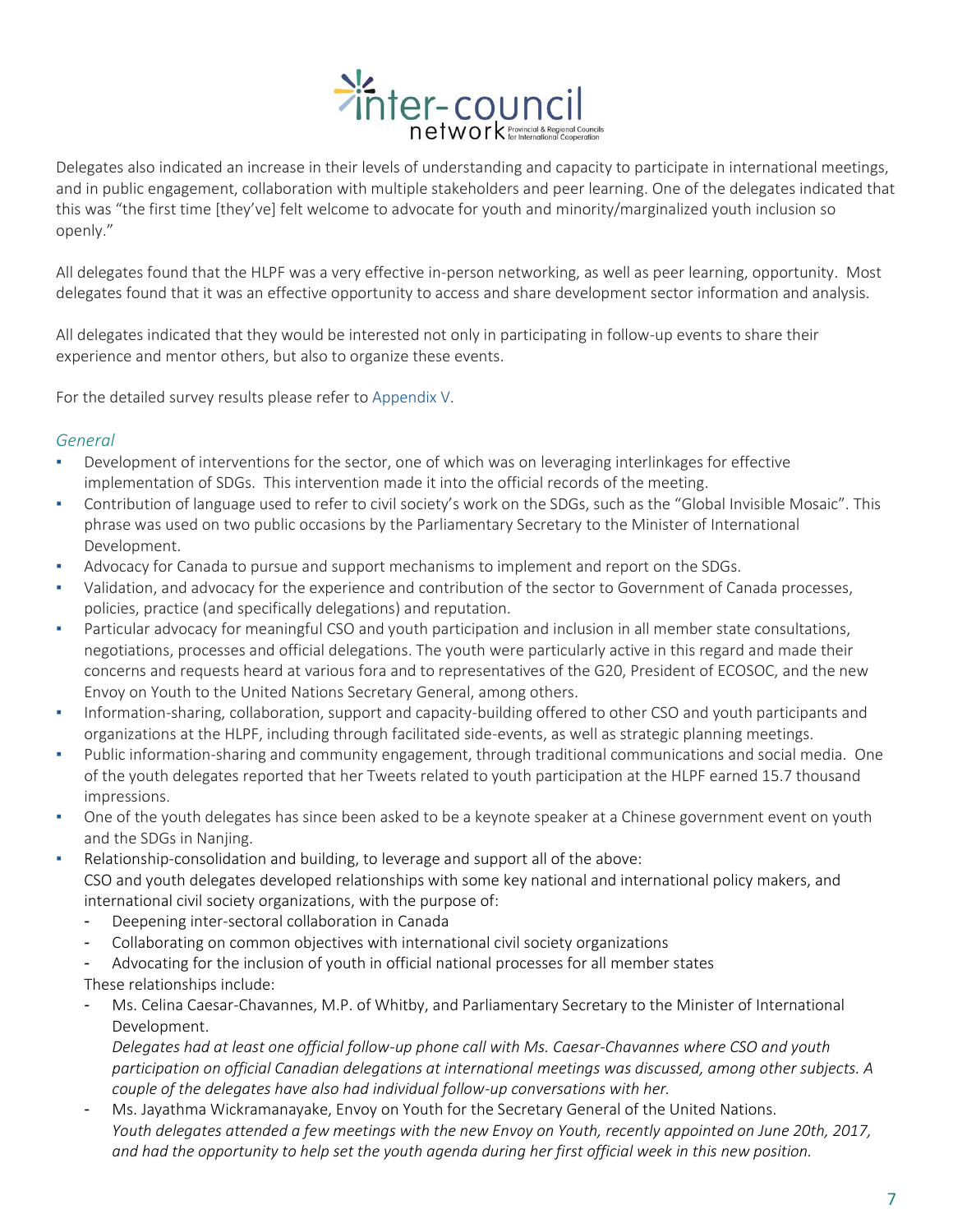

Delegates also indicated an increase in their levels of understanding and capacity to participate in international meetings, and in public engagement, collaboration with multiple stakeholders and peer learning. One of the delegates indicated that this was "the first time [they've] felt welcome to advocate for youth and minority/marginalized youth inclusion so openly."

All delegates found that the HLPF was a very effective in-person networking, as well as peer learning, opportunity. Most delegates found that it was an effective opportunity to access and share development sector information and analysis.

All delegates indicated that they would be interested not only in participating in follow-up events to share their experience and mentor others, but also to organize these events.

For the detailed survey results please refer to Appendix V.

## *General*

- Development of interventions for the sector, one of which was on leveraging interlinkages for effective implementation of SDGs. This intervention made it into the official records of the meeting.
- Contribution of language used to refer to civil society's work on the SDGs, such as the "Global Invisible Mosaic". This phrase was used on two public occasions by the Parliamentary Secretary to the Minister of International Development.
- Advocacy for Canada to pursue and support mechanisms to implement and report on the SDGs.
- Validation, and advocacy for the experience and contribution of the sector to Government of Canada processes, policies, practice (and specifically delegations) and reputation.
- Particular advocacy for meaningful CSO and youth participation and inclusion in all member state consultations, negotiations, processes and official delegations. The youth were particularly active in this regard and made their concerns and requests heard at various fora and to representatives of the G20, President of ECOSOC, and the new Envoy on Youth to the United Nations Secretary General, among others.
- Information-sharing, collaboration, support and capacity-building offered to other CSO and youth participants and organizations at the HLPF, including through facilitated side-events, as well as strategic planning meetings.
- Public information-sharing and community engagement, through traditional communications and social media. One of the youth delegates reported that her Tweets related to youth participation at the HLPF earned 15.7 thousand impressions.
- One of the youth delegates has since been asked to be a keynote speaker at a Chinese government event on youth and the SDGs in Nanjing.
- Relationship-consolidation and building, to leverage and support all of the above: CSO and youth delegates developed relationships with some key national and international policy makers, and international civil society organizations, with the purpose of:
	- Deepening inter-sectoral collaboration in Canada
	- Collaborating on common objectives with international civil society organizations
	- Advocating for the inclusion of youth in official national processes for all member states
	- These relationships include:
	- Ms. Celina Caesar-Chavannes, M.P. of Whitby, and Parliamentary Secretary to the Minister of International Development.

*Delegates had at least one official follow-up phone call with Ms. Caesar-Chavannes where CSO and youth participation on official Canadian delegations at international meetings was discussed, among other subjects. A couple of the delegates have also had individual follow-up conversations with her.* 

- Ms. Jayathma Wickramanayake, Envoy on Youth for the Secretary General of the United Nations. *Youth delegates attended a few meetings with the new Envoy on Youth, recently appointed on June 20th, 2017, and had the opportunity to help set the youth agenda during her first official week in this new position.*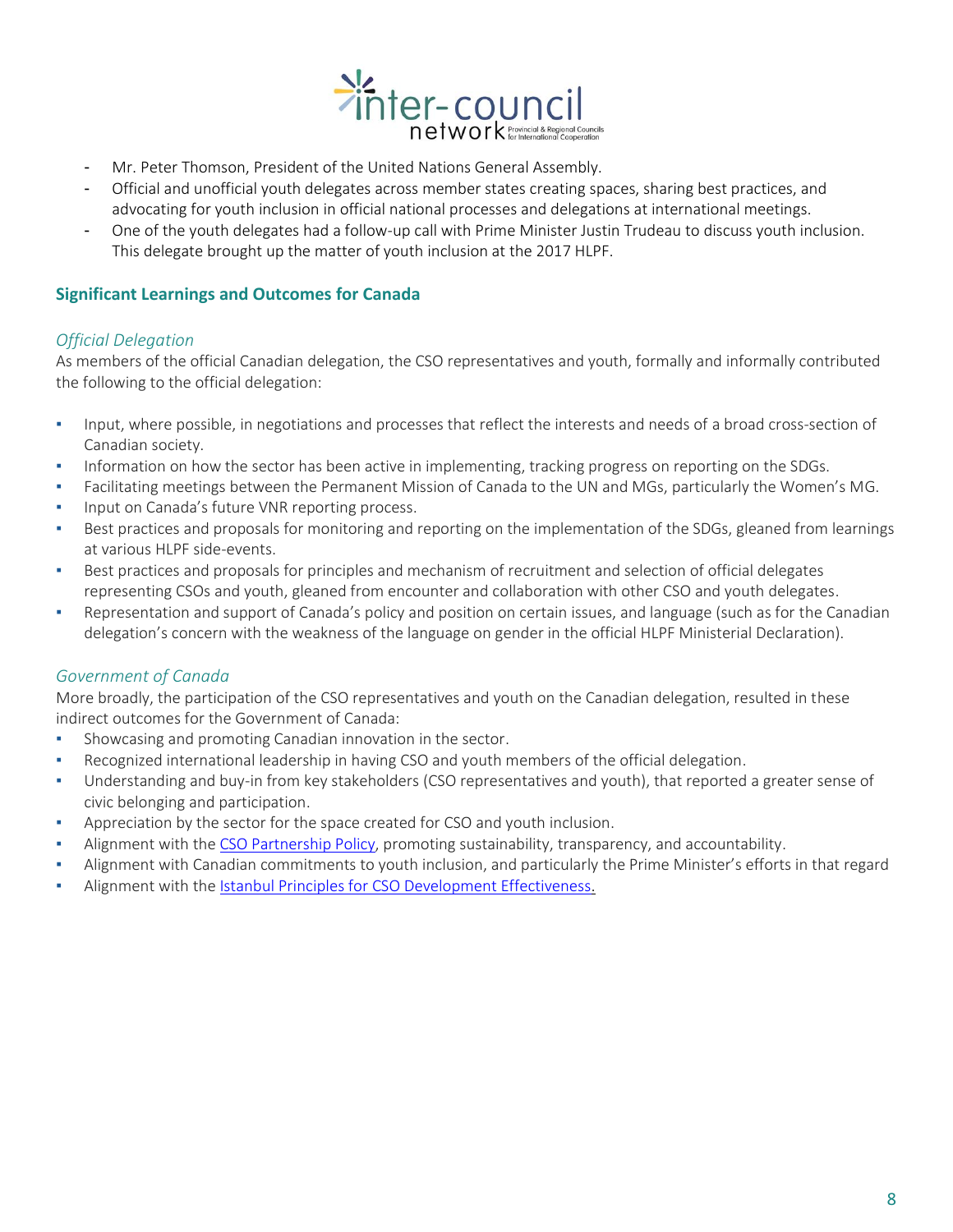

- Mr. Peter Thomson, President of the United Nations General Assembly.
- Official and unofficial youth delegates across member states creating spaces, sharing best practices, and advocating for youth inclusion in official national processes and delegations at international meetings.
- One of the youth delegates had a follow-up call with Prime Minister Justin Trudeau to discuss youth inclusion. This delegate brought up the matter of youth inclusion at the 2017 HLPF.

## **Significant Learnings and Outcomes for Canada**

#### *Official Delegation*

As members of the official Canadian delegation, the CSO representatives and youth, formally and informally contributed the following to the official delegation:

- Input, where possible, in negotiations and processes that reflect the interests and needs of a broad cross-section of Canadian society.
- Information on how the sector has been active in implementing, tracking progress on reporting on the SDGs.
- Facilitating meetings between the Permanent Mission of Canada to the UN and MGs, particularly the Women's MG.
- Input on Canada's future VNR reporting process.
- Best practices and proposals for monitoring and reporting on the implementation of the SDGs, gleaned from learnings at various HLPF side-events.
- Best practices and proposals for principles and mechanism of recruitment and selection of official delegates representing CSOs and youth, gleaned from encounter and collaboration with other CSO and youth delegates.
- Representation and support of Canada's policy and position on certain issues, and language (such as for the Canadian delegation's concern with the weakness of the language on gender in the official HLPF Ministerial Declaration).

## *Government of Canada*

More broadly, the participation of the CSO representatives and youth on the Canadian delegation, resulted in these indirect outcomes for the Government of Canada:

- Showcasing and promoting Canadian innovation in the sector.
- Recognized international leadership in having CSO and youth members of the official delegation.
- Understanding and buy-in from key stakeholders (CSO representatives and youth), that reported a greater sense of civic belonging and participation.
- Appreciation by the sector for the space created for CSO and youth inclusion.
- Alignment with the [CSO Partnership Policy,](http://international.gc.ca/world-monde/issues_development-enjeux_developpement/priorities-priorites/civil_policy-politique_civile.aspx?lang=eng) promoting sustainability, transparency, and accountability.
- Alignment with Canadian commitments to youth inclusion, and particularly the Prime Minister's efforts in that regard
- Alignment with the [Istanbul Principles for CSO Development Effectiveness.](http://csopartnership.org/wp-content/uploads/2016/01/hlf4_72.pdf)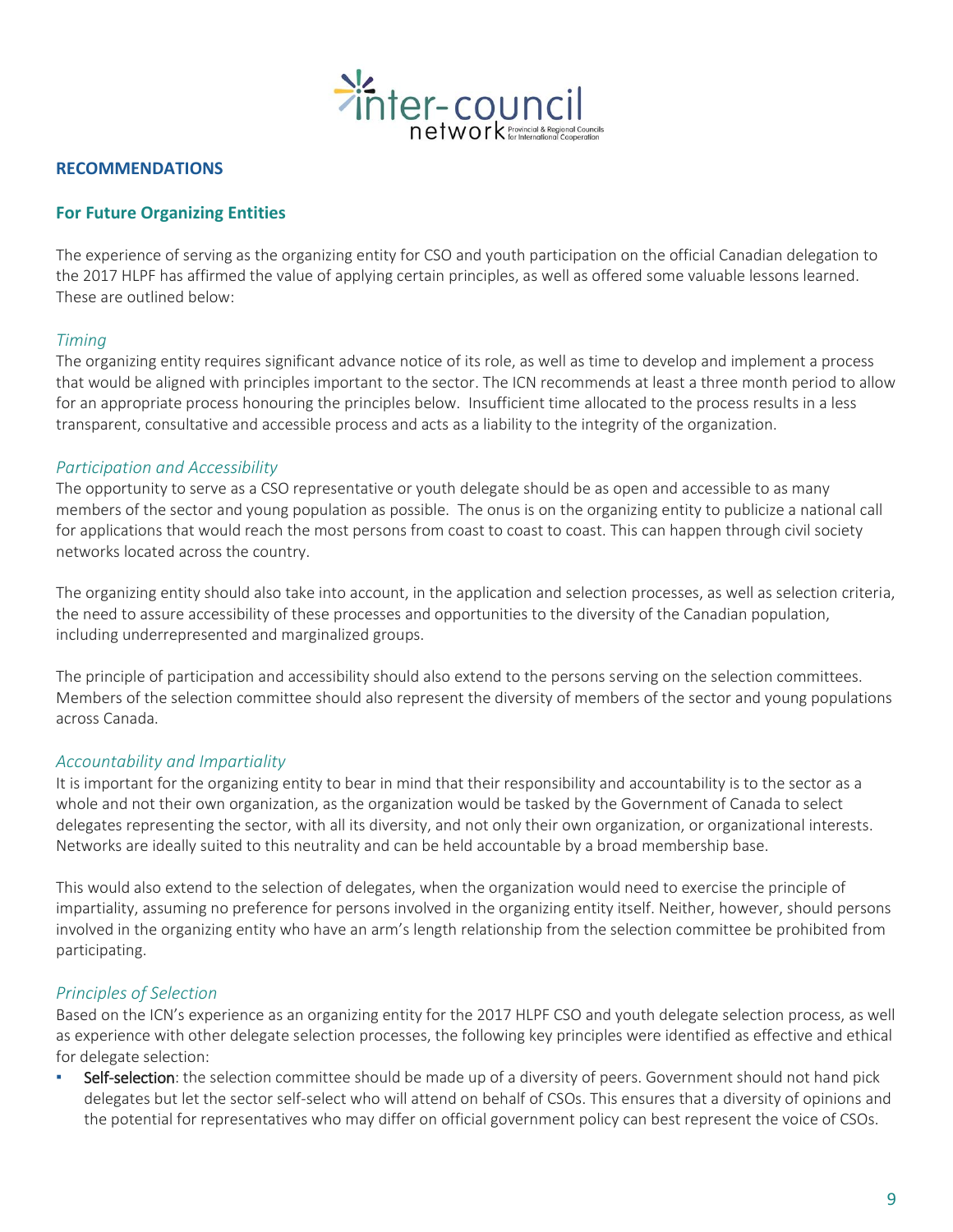

#### **RECOMMENDATIONS**

### **For Future Organizing Entities**

The experience of serving as the organizing entity for CSO and youth participation on the official Canadian delegation to the 2017 HLPF has affirmed the value of applying certain principles, as well as offered some valuable lessons learned. These are outlined below:

#### *Timing*

The organizing entity requires significant advance notice of its role, as well as time to develop and implement a process that would be aligned with principles important to the sector. The ICN recommends at least a three month period to allow for an appropriate process honouring the principles below. Insufficient time allocated to the process results in a less transparent, consultative and accessible process and acts as a liability to the integrity of the organization.

#### *Participation and Accessibility*

The opportunity to serve as a CSO representative or youth delegate should be as open and accessible to as many members of the sector and young population as possible. The onus is on the organizing entity to publicize a national call for applications that would reach the most persons from coast to coast to coast. This can happen through civil society networks located across the country.

The organizing entity should also take into account, in the application and selection processes, as well as selection criteria, the need to assure accessibility of these processes and opportunities to the diversity of the Canadian population, including underrepresented and marginalized groups.

The principle of participation and accessibility should also extend to the persons serving on the selection committees. Members of the selection committee should also represent the diversity of members of the sector and young populations across Canada.

#### *Accountability and Impartiality*

It is important for the organizing entity to bear in mind that their responsibility and accountability is to the sector as a whole and not their own organization, as the organization would be tasked by the Government of Canada to select delegates representing the sector, with all its diversity, and not only their own organization, or organizational interests. Networks are ideally suited to this neutrality and can be held accountable by a broad membership base.

This would also extend to the selection of delegates, when the organization would need to exercise the principle of impartiality, assuming no preference for persons involved in the organizing entity itself. Neither, however, should persons involved in the organizing entity who have an arm's length relationship from the selection committee be prohibited from participating.

## *Principles of Selection*

Based on the ICN's experience as an organizing entity for the 2017 HLPF CSO and youth delegate selection process, as well as experience with other delegate selection processes, the following key principles were identified as effective and ethical for delegate selection:

**EXELF-selection:** the selection committee should be made up of a diversity of peers. Government should not hand pick delegates but let the sector self-select who will attend on behalf of CSOs. This ensures that a diversity of opinions and the potential for representatives who may differ on official government policy can best represent the voice of CSOs.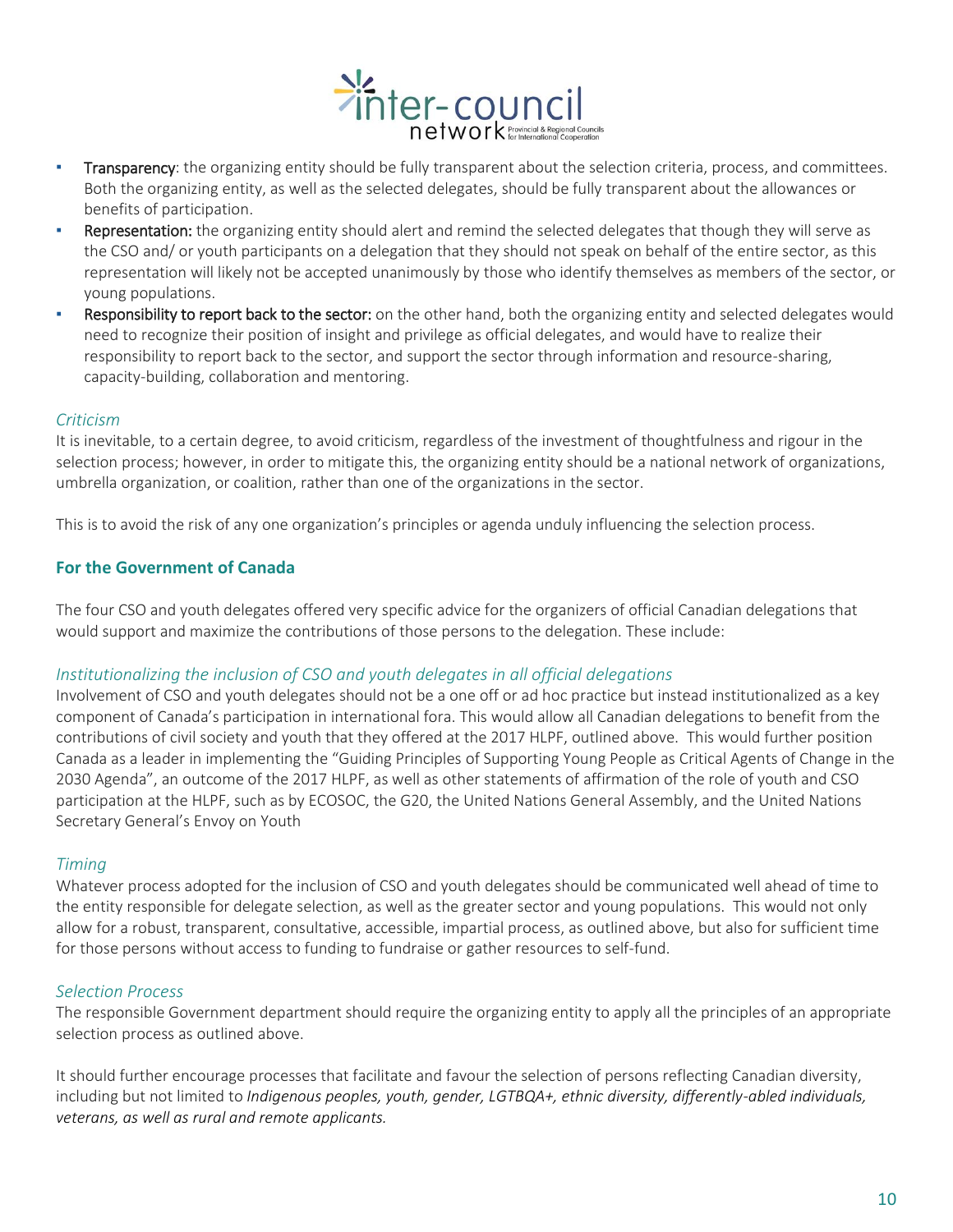

- **Transparency**: the organizing entity should be fully transparent about the selection criteria, process, and committees. Both the organizing entity, as well as the selected delegates, should be fully transparent about the allowances or benefits of participation.
- Representation: the organizing entity should alert and remind the selected delegates that though they will serve as the CSO and/ or youth participants on a delegation that they should not speak on behalf of the entire sector, as this representation will likely not be accepted unanimously by those who identify themselves as members of the sector, or young populations.
- **EXECT ADDE SHOT SECTO FIGHT SECTOR SECTOR SECTOR SECTOR SECTOR SECTOR** SERVIST PRESS FOOD MUDIST RESPONSIBLES WOULD need to recognize their position of insight and privilege as official delegates, and would have to realize their responsibility to report back to the sector, and support the sector through information and resource-sharing, capacity-building, collaboration and mentoring.

#### *Criticism*

It is inevitable, to a certain degree, to avoid criticism, regardless of the investment of thoughtfulness and rigour in the selection process; however, in order to mitigate this, the organizing entity should be a national network of organizations, umbrella organization, or coalition, rather than one of the organizations in the sector.

This is to avoid the risk of any one organization's principles or agenda unduly influencing the selection process.

#### **For the Government of Canada**

The four CSO and youth delegates offered very specific advice for the organizers of official Canadian delegations that would support and maximize the contributions of those persons to the delegation. These include:

#### *Institutionalizing the inclusion of CSO and youth delegates in all official delegations*

Involvement of CSO and youth delegates should not be a one off or ad hoc practice but instead institutionalized as a key component of Canada's participation in international fora. This would allow all Canadian delegations to benefit from the contributions of civil society and youth that they offered at the 2017 HLPF, outlined above. This would further position Canada as a leader in implementing the "Guiding Principles of Supporting Young People as Critical Agents of Change in the 2030 Agenda", an outcome of the 2017 HLPF, as well as other statements of affirmation of the role of youth and CSO participation at the HLPF, such as by ECOSOC, the G20, the United Nations General Assembly, and the United Nations Secretary General's Envoy on Youth

#### *Timing*

Whatever process adopted for the inclusion of CSO and youth delegates should be communicated well ahead of time to the entity responsible for delegate selection, as well as the greater sector and young populations. This would not only allow for a robust, transparent, consultative, accessible, impartial process, as outlined above, but also for sufficient time for those persons without access to funding to fundraise or gather resources to self-fund.

#### *Selection Process*

The responsible Government department should require the organizing entity to apply all the principles of an appropriate selection process as outlined above.

It should further encourage processes that facilitate and favour the selection of persons reflecting Canadian diversity, including but not limited to *Indigenous peoples, youth, gender, LGTBQA+, ethnic diversity, differently-abled individuals, veterans, as well as rural and remote applicants.*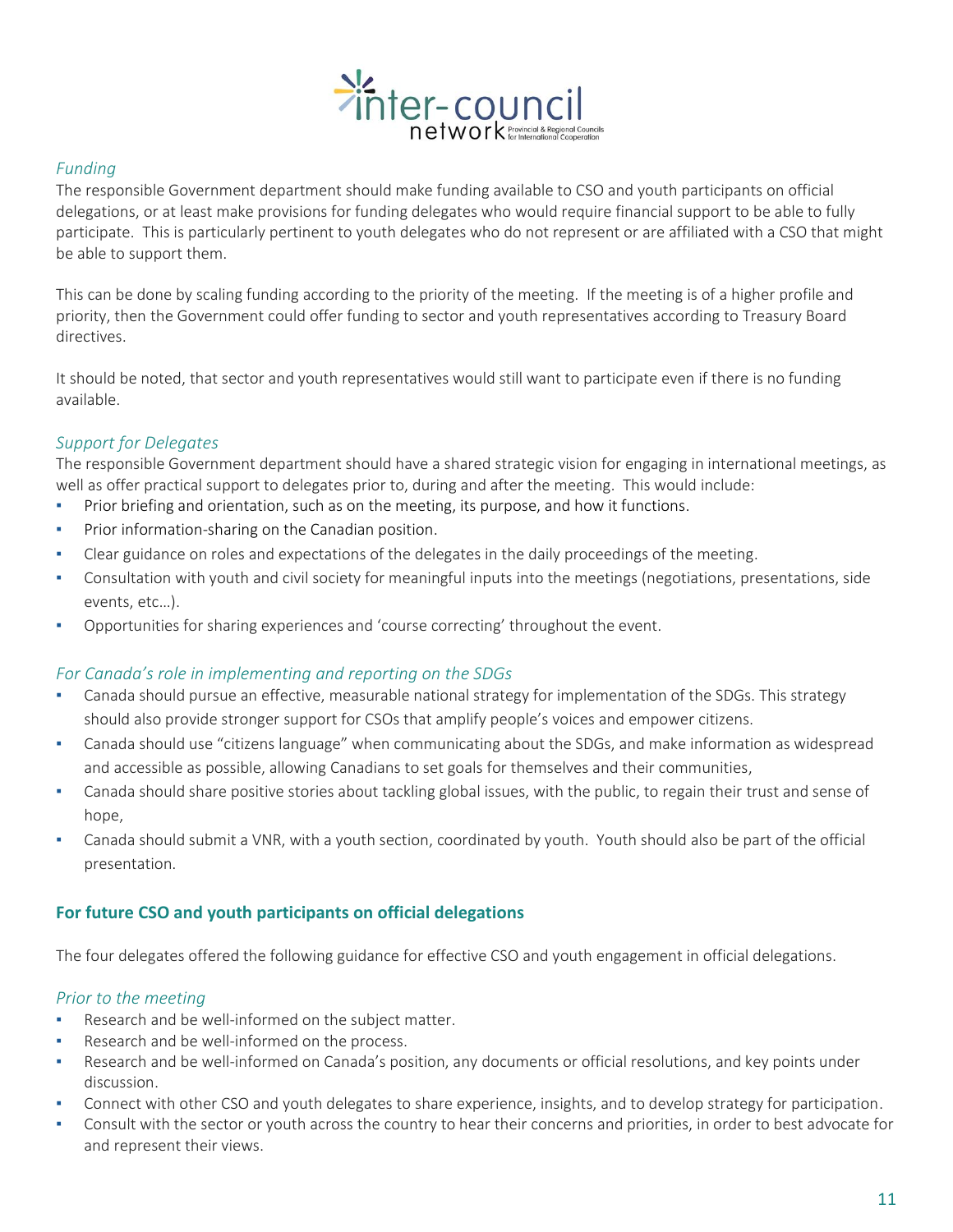

## *Funding*

The responsible Government department should make funding available to CSO and youth participants on official delegations, or at least make provisions for funding delegates who would require financial support to be able to fully participate. This is particularly pertinent to youth delegates who do not represent or are affiliated with a CSO that might be able to support them.

This can be done by scaling funding according to the priority of the meeting. If the meeting is of a higher profile and priority, then the Government could offer funding to sector and youth representatives according to Treasury Board directives.

It should be noted, that sector and youth representatives would still want to participate even if there is no funding available.

## *Support for Delegates*

The responsible Government department should have a shared strategic vision for engaging in international meetings, as well as offer practical support to delegates prior to, during and after the meeting. This would include:

- Prior briefing and orientation, such as on the meeting, its purpose, and how it functions.
- Prior information-sharing on the Canadian position.
- Clear guidance on roles and expectations of the delegates in the daily proceedings of the meeting.
- Consultation with youth and civil society for meaningful inputs into the meetings (negotiations, presentations, side events, etc…).
- Opportunities for sharing experiences and 'course correcting' throughout the event.

## *For Canada's role in implementing and reporting on the SDGs*

- Canada should pursue an effective, measurable national strategy for implementation of the SDGs. This strategy should also provide stronger support for CSOs that amplify people's voices and empower citizens.
- Canada should use "citizens language" when communicating about the SDGs, and make information as widespread and accessible as possible, allowing Canadians to set goals for themselves and their communities,
- Canada should share positive stories about tackling global issues, with the public, to regain their trust and sense of hope,
- Canada should submit a VNR, with a youth section, coordinated by youth. Youth should also be part of the official presentation.

## **For future CSO and youth participants on official delegations**

The four delegates offered the following guidance for effective CSO and youth engagement in official delegations.

## *Prior to the meeting*

- Research and be well-informed on the subject matter.
- Research and be well-informed on the process.
- Research and be well-informed on Canada's position, any documents or official resolutions, and key points under discussion.
- Connect with other CSO and youth delegates to share experience, insights, and to develop strategy for participation.
- Consult with the sector or youth across the country to hear their concerns and priorities, in order to best advocate for and represent their views.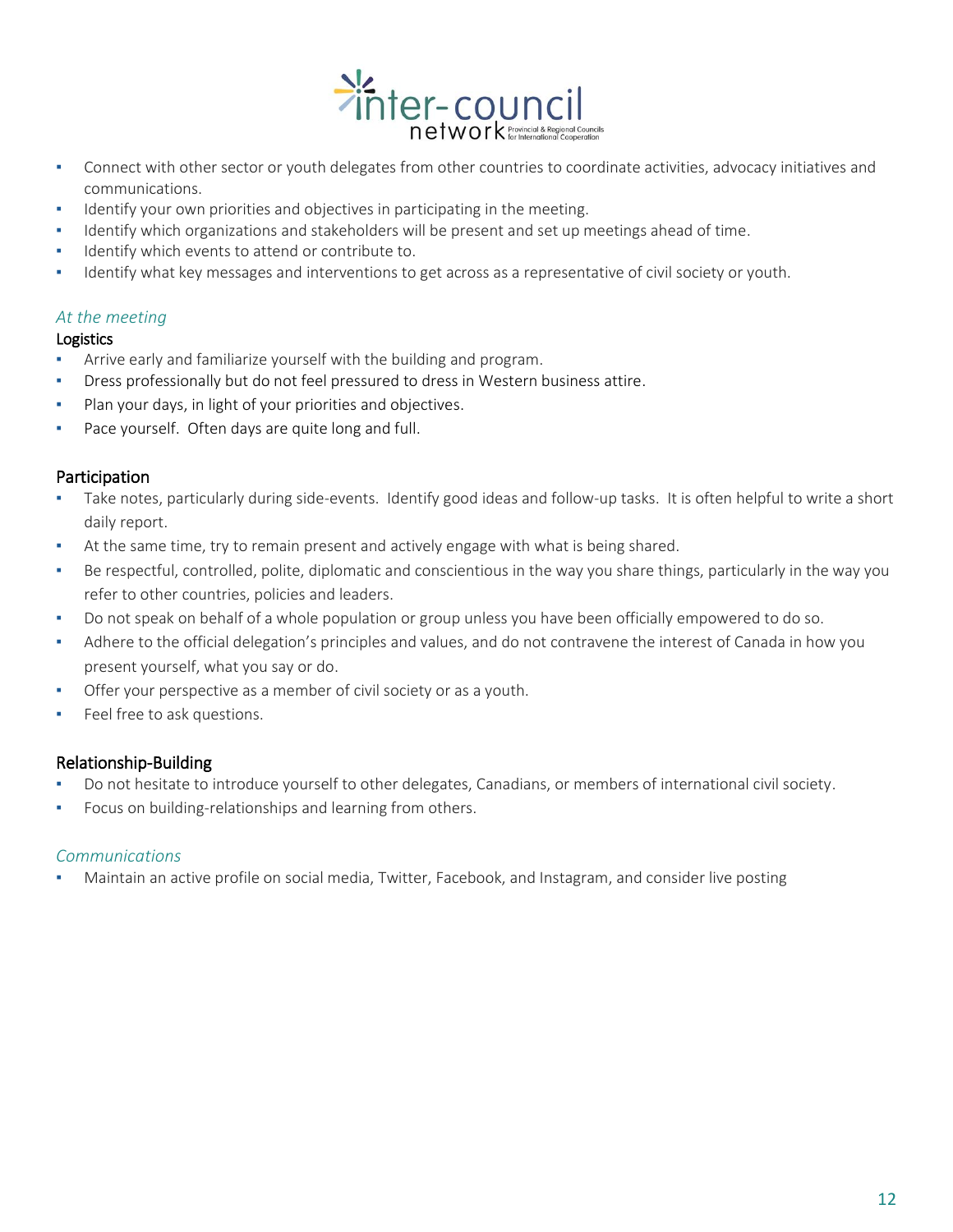

- Connect with other sector or youth delegates from other countries to coordinate activities, advocacy initiatives and communications.
- Identify your own priorities and objectives in participating in the meeting.
- Identify which organizations and stakeholders will be present and set up meetings ahead of time.
- Identify which events to attend or contribute to.
- Identify what key messages and interventions to get across as a representative of civil society or youth.

### *At the meeting*

#### Logistics

- Arrive early and familiarize yourself with the building and program.
- Dress professionally but do not feel pressured to dress in Western business attire.
- Plan your days, in light of your priorities and objectives.
- Pace yourself. Often days are quite long and full.

#### Participation

- Take notes, particularly during side-events. Identify good ideas and follow-up tasks. It is often helpful to write a short daily report.
- At the same time, try to remain present and actively engage with what is being shared.
- Be respectful, controlled, polite, diplomatic and conscientious in the way you share things, particularly in the way you refer to other countries, policies and leaders.
- Do not speak on behalf of a whole population or group unless you have been officially empowered to do so.
- Adhere to the official delegation's principles and values, and do not contravene the interest of Canada in how you present yourself, what you say or do.
- Offer your perspective as a member of civil society or as a youth.
- **•** Feel free to ask questions.

## Relationship-Building

- Do not hesitate to introduce yourself to other delegates, Canadians, or members of international civil society.
- Focus on building-relationships and learning from others.

#### *Communications*

Maintain an active profile on social media, Twitter, Facebook, and Instagram, and consider live posting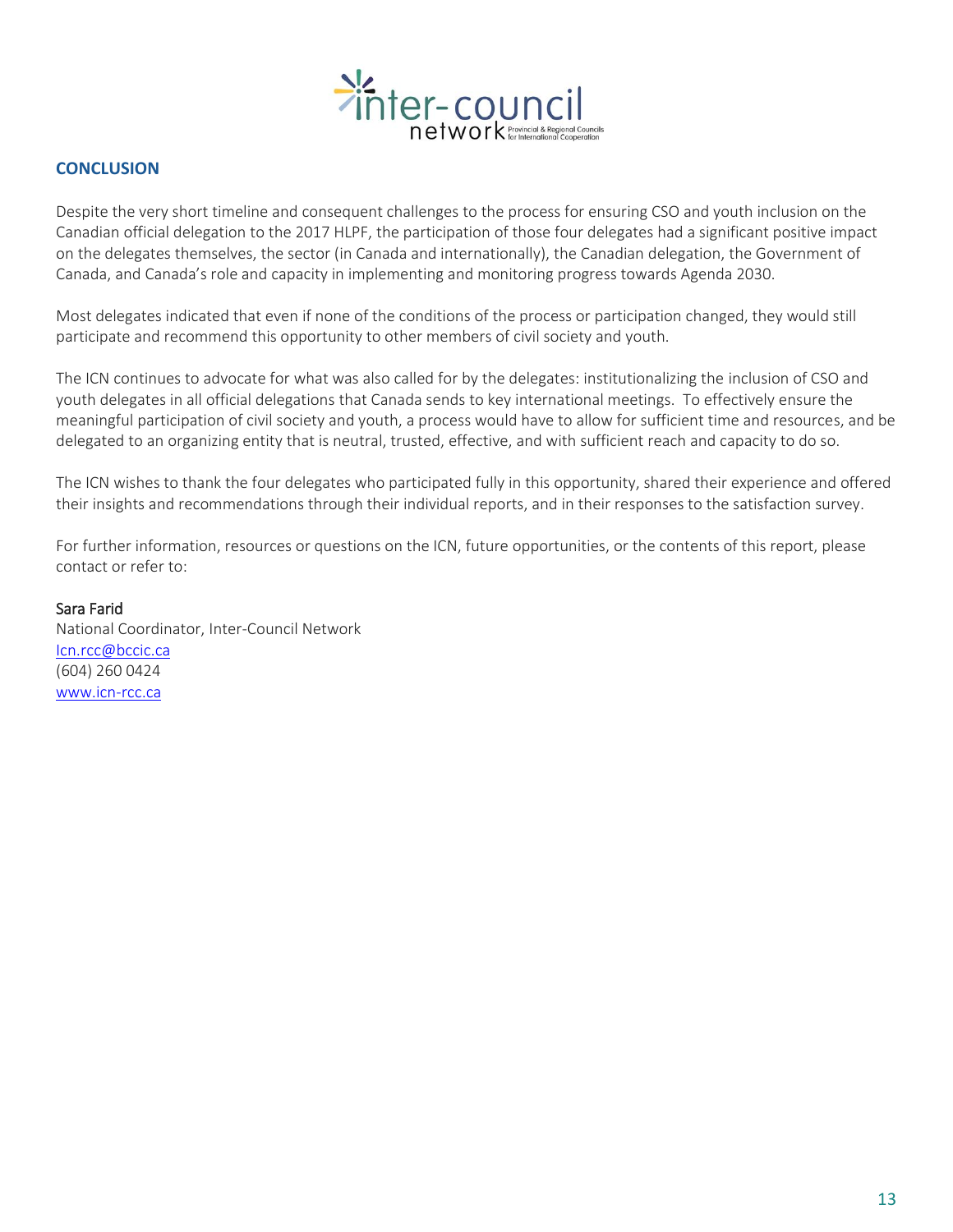

## **CONCLUSION**

Despite the very short timeline and consequent challenges to the process for ensuring CSO and youth inclusion on the Canadian official delegation to the 2017 HLPF, the participation of those four delegates had a significant positive impact on the delegates themselves, the sector (in Canada and internationally), the Canadian delegation, the Government of Canada, and Canada's role and capacity in implementing and monitoring progress towards Agenda 2030.

Most delegates indicated that even if none of the conditions of the process or participation changed, they would still participate and recommend this opportunity to other members of civil society and youth.

The ICN continues to advocate for what was also called for by the delegates: institutionalizing the inclusion of CSO and youth delegates in all official delegations that Canada sends to key international meetings. To effectively ensure the meaningful participation of civil society and youth, a process would have to allow for sufficient time and resources, and be delegated to an organizing entity that is neutral, trusted, effective, and with sufficient reach and capacity to do so.

The ICN wishes to thank the four delegates who participated fully in this opportunity, shared their experience and offered their insights and recommendations through their individual reports, and in their responses to the satisfaction survey.

For further information, resources or questions on the ICN, future opportunities, or the contents of this report, please contact or refer to:

#### Sara Farid

National Coordinator, Inter-Council Network [Icn.rcc@bccic.ca](mailto:Icn.rcc@bccic.ca) (604) 260 0424 [www.icn-rcc.ca](http://www.icn-rcc.ca/)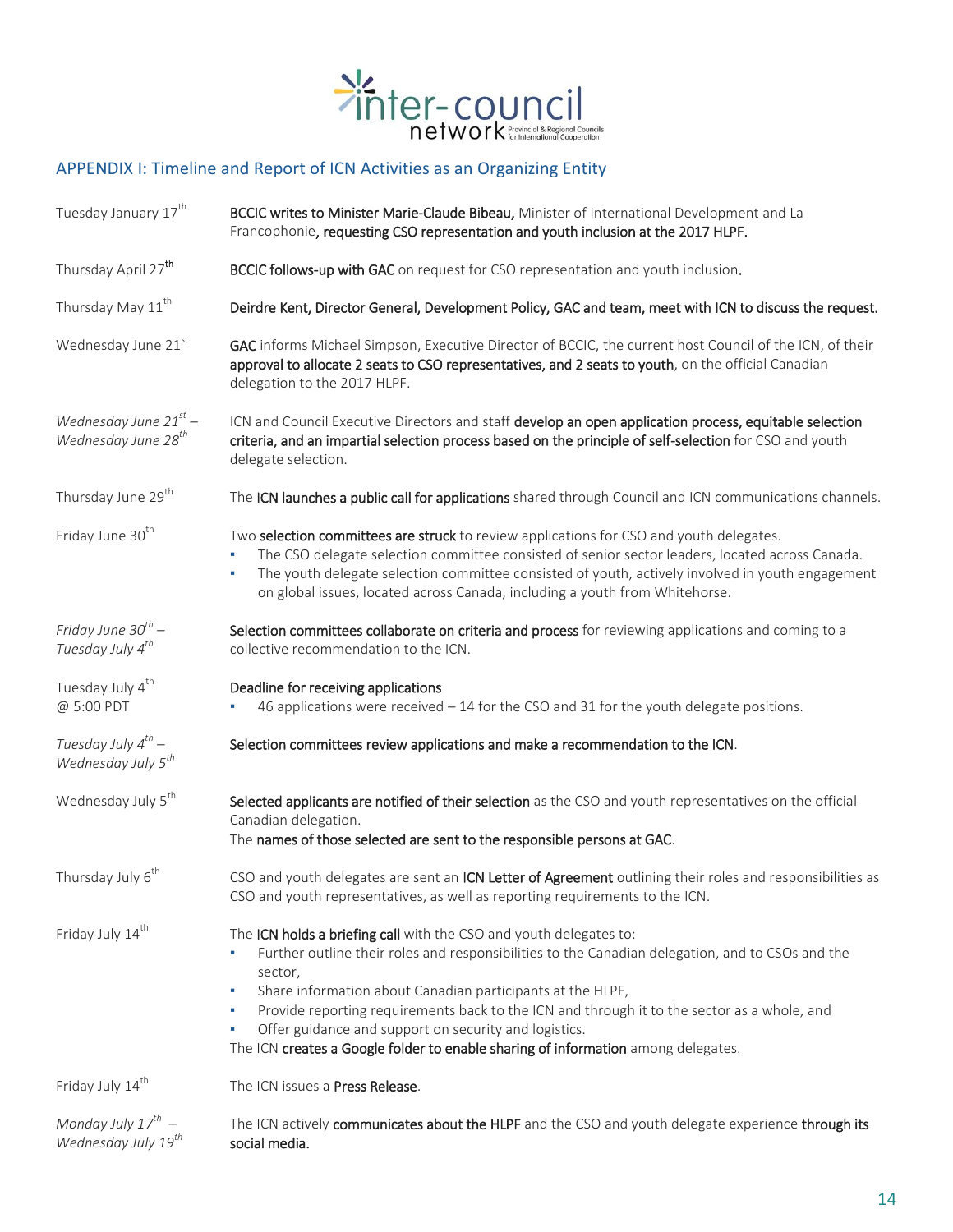

# APPENDIX I: Timeline and Report of ICN Activities as an Organizing Entity

| Tuesday January 17 <sup>th</sup>                               | BCCIC writes to Minister Marie-Claude Bibeau, Minister of International Development and La<br>Francophonie, requesting CSO representation and youth inclusion at the 2017 HLPF.                                                                                                                                                                                                                                                                                                                             |
|----------------------------------------------------------------|-------------------------------------------------------------------------------------------------------------------------------------------------------------------------------------------------------------------------------------------------------------------------------------------------------------------------------------------------------------------------------------------------------------------------------------------------------------------------------------------------------------|
| Thursday April 27 <sup>th</sup>                                | BCCIC follows-up with GAC on request for CSO representation and youth inclusion.                                                                                                                                                                                                                                                                                                                                                                                                                            |
| Thursday May 11 <sup>th</sup>                                  | Deirdre Kent, Director General, Development Policy, GAC and team, meet with ICN to discuss the request.                                                                                                                                                                                                                                                                                                                                                                                                     |
| Wednesday June 21st                                            | GAC informs Michael Simpson, Executive Director of BCCIC, the current host Council of the ICN, of their<br>approval to allocate 2 seats to CSO representatives, and 2 seats to youth, on the official Canadian<br>delegation to the 2017 HLPF.                                                                                                                                                                                                                                                              |
| Wednesday June $21^{st}$ –<br>Wednesday June 28 <sup>th</sup>  | ICN and Council Executive Directors and staff develop an open application process, equitable selection<br>criteria, and an impartial selection process based on the principle of self-selection for CSO and youth<br>delegate selection.                                                                                                                                                                                                                                                                    |
| Thursday June 29 <sup>th</sup>                                 | The ICN launches a public call for applications shared through Council and ICN communications channels.                                                                                                                                                                                                                                                                                                                                                                                                     |
| Friday June 30 <sup>th</sup>                                   | Two selection committees are struck to review applications for CSO and youth delegates.<br>The CSO delegate selection committee consisted of senior sector leaders, located across Canada.<br>٠<br>The youth delegate selection committee consisted of youth, actively involved in youth engagement<br>×<br>on global issues, located across Canada, including a youth from Whitehorse.                                                                                                                     |
| Friday June 30 <sup>th</sup> -<br>Tuesday July 4 <sup>th</sup> | Selection committees collaborate on criteria and process for reviewing applications and coming to a<br>collective recommendation to the ICN.                                                                                                                                                                                                                                                                                                                                                                |
| Tuesday July 4 <sup>th</sup><br>@ 5:00 PDT                     | Deadline for receiving applications<br>46 applications were received $-14$ for the CSO and 31 for the youth delegate positions.                                                                                                                                                                                                                                                                                                                                                                             |
| Tuesday July $4^{th}$ –<br>Wednesday July 5 <sup>th</sup>      | Selection committees review applications and make a recommendation to the ICN.                                                                                                                                                                                                                                                                                                                                                                                                                              |
| Wednesday July 5 <sup>th</sup>                                 | Selected applicants are notified of their selection as the CSO and youth representatives on the official<br>Canadian delegation.<br>The names of those selected are sent to the responsible persons at GAC.                                                                                                                                                                                                                                                                                                 |
| Thursday July 6 <sup>th</sup>                                  | CSO and youth delegates are sent an ICN Letter of Agreement outlining their roles and responsibilities as<br>CSO and youth representatives, as well as reporting requirements to the ICN.                                                                                                                                                                                                                                                                                                                   |
| Friday July 14 <sup>th</sup>                                   | The ICN holds a briefing call with the CSO and youth delegates to:<br>Further outline their roles and responsibilities to the Canadian delegation, and to CSOs and the<br>sector,<br>Share information about Canadian participants at the HLPF,<br>٠<br>Provide reporting requirements back to the ICN and through it to the sector as a whole, and<br>٠<br>Offer guidance and support on security and logistics.<br>٠<br>The ICN creates a Google folder to enable sharing of information among delegates. |
| Friday July 14 <sup>th</sup>                                   | The ICN issues a Press Release.                                                                                                                                                                                                                                                                                                                                                                                                                                                                             |
| Monday July $17^{th}$ –<br>Wednesday July 19 <sup>th</sup>     | The ICN actively communicates about the HLPF and the CSO and youth delegate experience through its<br>social media.                                                                                                                                                                                                                                                                                                                                                                                         |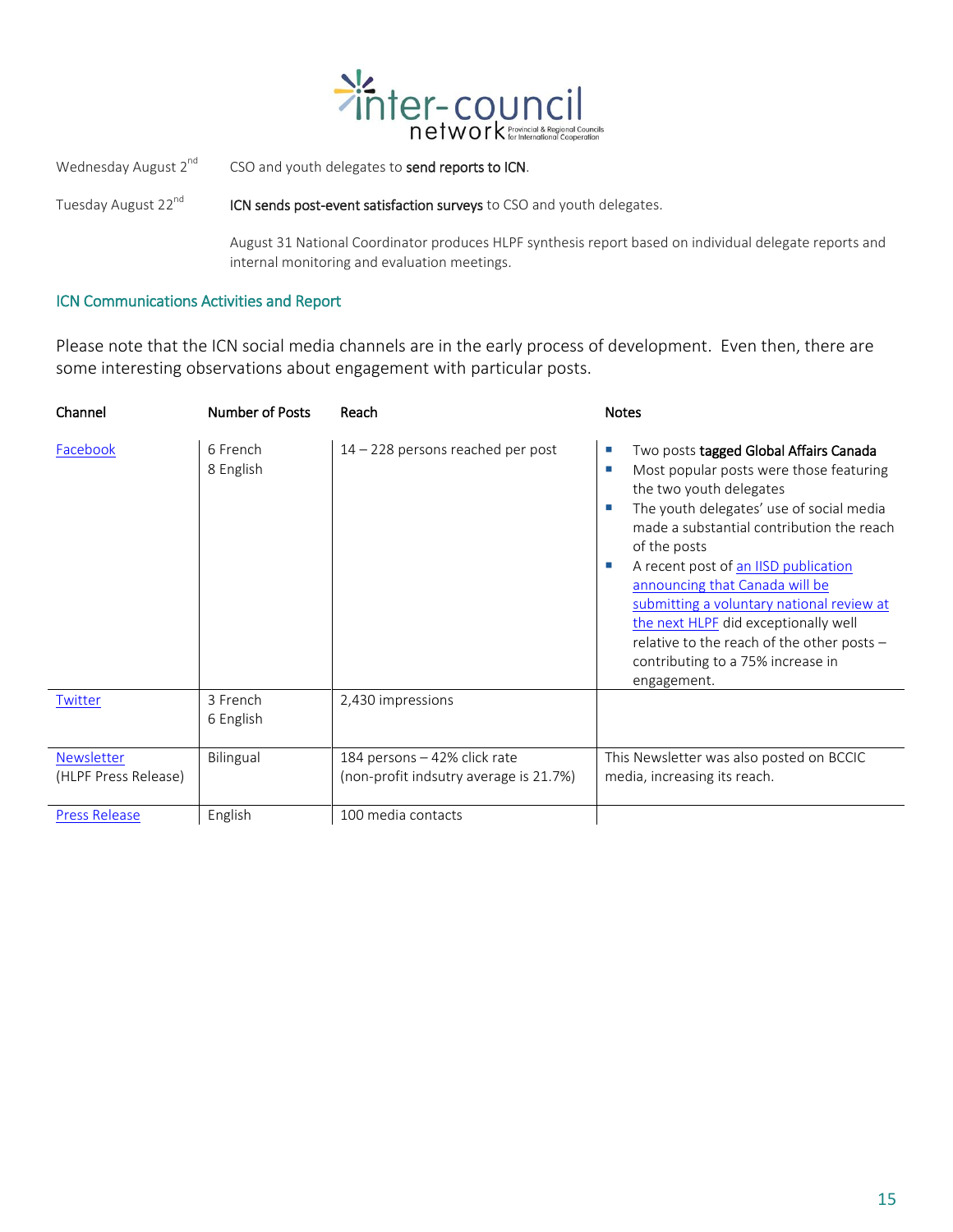

Wednesday August  $2^{nd}$  CSO and youth delegates to send reports to ICN.

Tuesday August  $22^{nd}$  ICN sends post-event satisfaction surveys to CSO and youth delegates.

August 31 National Coordinator produces HLPF synthesis report based on individual delegate reports and internal monitoring and evaluation meetings.

#### ICN Communications Activities and Report

Please note that the ICN social media channels are in the early process of development. Even then, there are some interesting observations about engagement with particular posts.

| Channel                                   | <b>Number of Posts</b> | Reach                                                                  | <b>Notes</b>                                                                                                                                                                                                                                                                                                                                                                                                                                                                                       |
|-------------------------------------------|------------------------|------------------------------------------------------------------------|----------------------------------------------------------------------------------------------------------------------------------------------------------------------------------------------------------------------------------------------------------------------------------------------------------------------------------------------------------------------------------------------------------------------------------------------------------------------------------------------------|
| Facebook                                  | 6 French<br>8 English  | 14 - 228 persons reached per post                                      | Two posts tagged Global Affairs Canada<br>m.<br>Most popular posts were those featuring<br>T.<br>the two youth delegates<br>The youth delegates' use of social media<br>made a substantial contribution the reach<br>of the posts<br>A recent post of an IISD publication<br>announcing that Canada will be<br>submitting a voluntary national review at<br>the next HLPF did exceptionally well<br>relative to the reach of the other posts -<br>contributing to a 75% increase in<br>engagement. |
| Twitter                                   | 3 French<br>6 English  | 2,430 impressions                                                      |                                                                                                                                                                                                                                                                                                                                                                                                                                                                                                    |
| <b>Newsletter</b><br>(HLPF Press Release) | Bilingual              | 184 persons - 42% click rate<br>(non-profit indsutry average is 21.7%) | This Newsletter was also posted on BCCIC<br>media, increasing its reach.                                                                                                                                                                                                                                                                                                                                                                                                                           |
| <b>Press Release</b>                      | English                | 100 media contacts                                                     |                                                                                                                                                                                                                                                                                                                                                                                                                                                                                                    |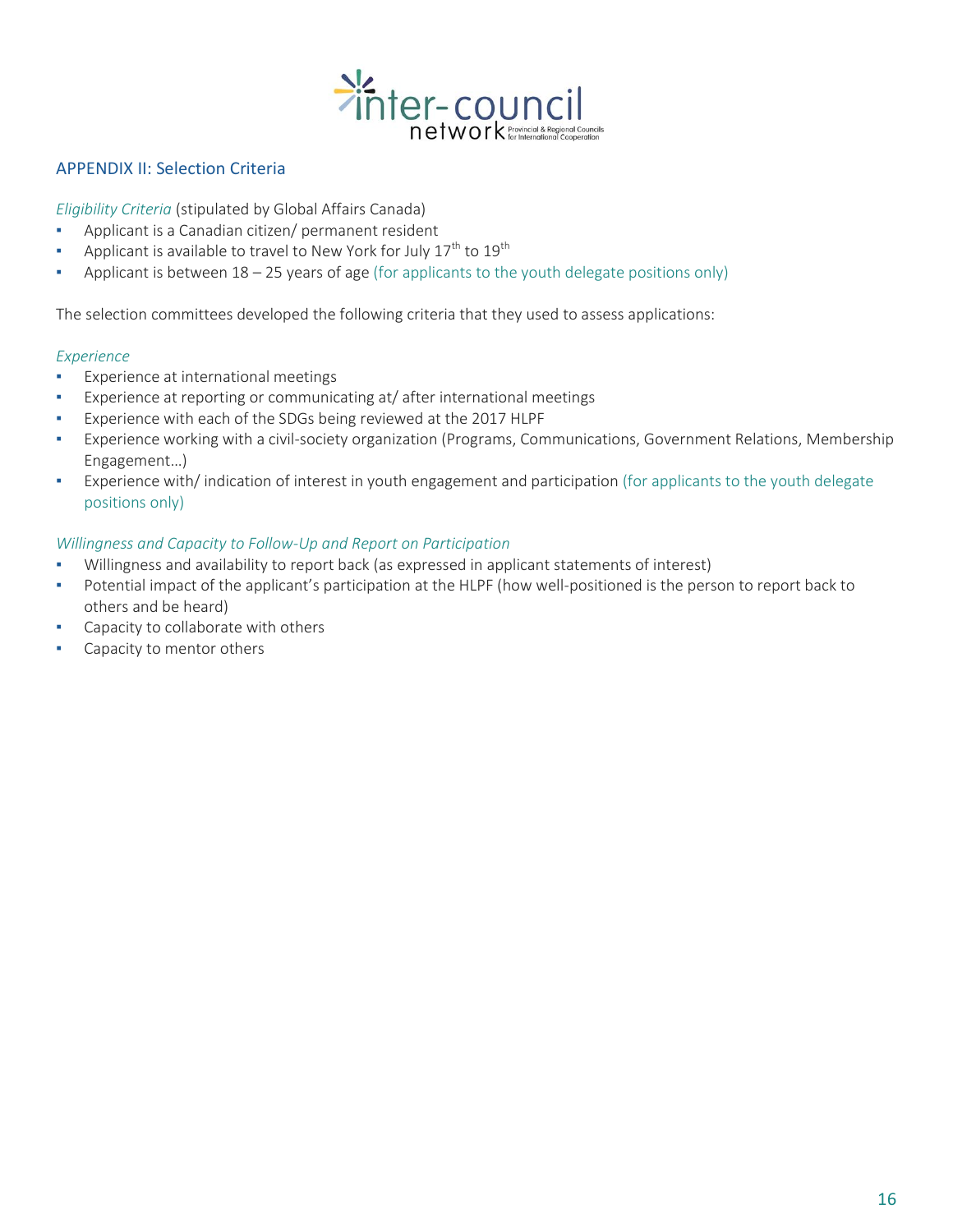

### APPENDIX II: Selection Criteria

*Eligibility Criteria* (stipulated by Global Affairs Canada)

- Applicant is a Canadian citizen/ permanent resident
- **•** Applicant is available to travel to New York for July  $17^{th}$  to  $19^{th}$
- **•** Applicant is between  $18 25$  years of age (for applicants to the youth delegate positions only)

The selection committees developed the following criteria that they used to assess applications:

#### *Experience*

- **Experience at international meetings**
- Experience at reporting or communicating at/ after international meetings
- Experience with each of the SDGs being reviewed at the 2017 HLPF
- Experience working with a civil-society organization (Programs, Communications, Government Relations, Membership Engagement…)
- Experience with/ indication of interest in youth engagement and participation (for applicants to the youth delegate positions only)

## *Willingness and Capacity to Follow-Up and Report on Participation*

- Willingness and availability to report back (as expressed in applicant statements of interest)
- Potential impact of the applicant's participation at the HLPF (how well-positioned is the person to report back to others and be heard)
- **•** Capacity to collaborate with others
- Capacity to mentor others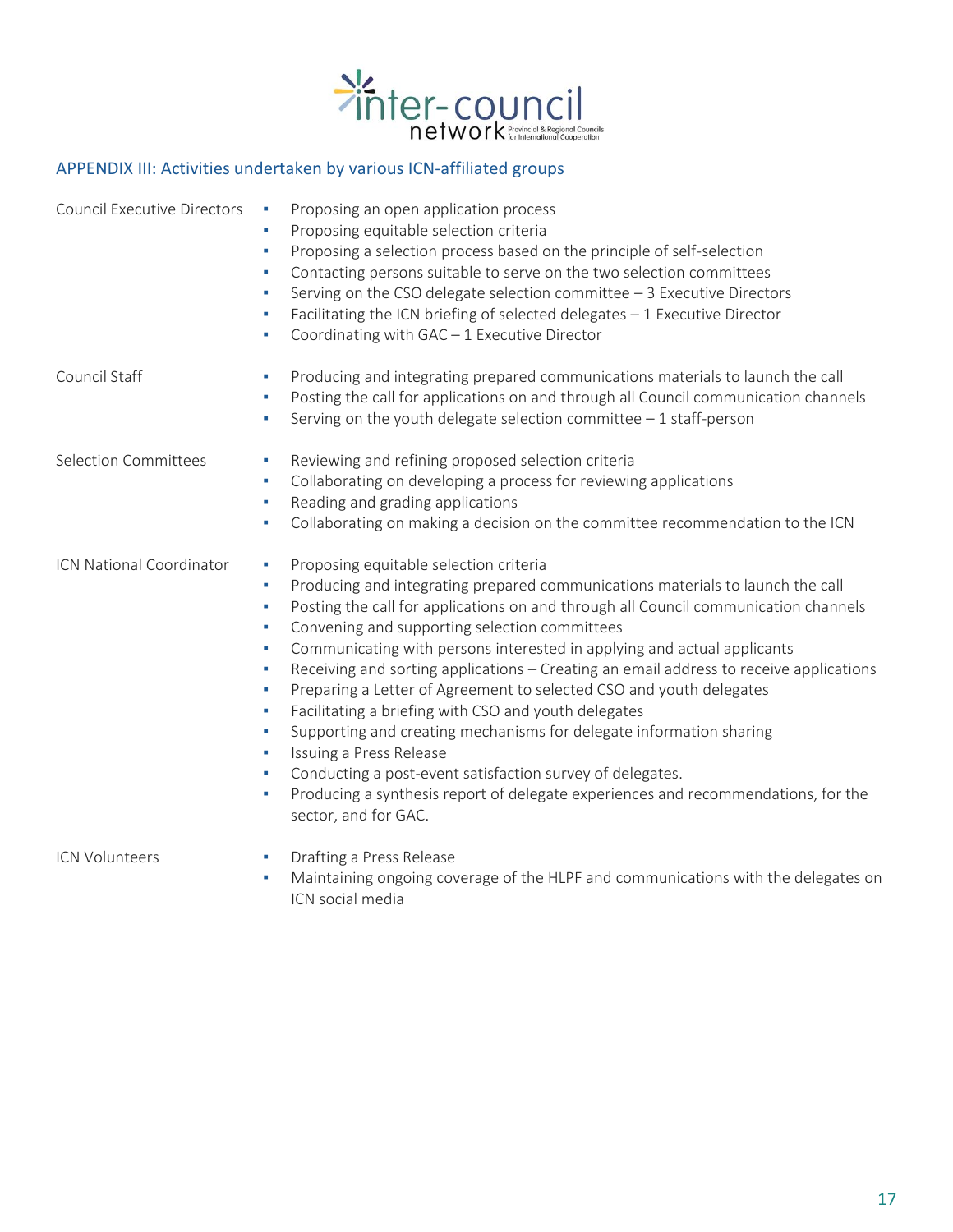

# APPENDIX III: Activities undertaken by various ICN-affiliated groups

| <b>Council Executive Directors</b> | Proposing an open application process<br>٠<br>Proposing equitable selection criteria<br>٠<br>Proposing a selection process based on the principle of self-selection<br>٠<br>Contacting persons suitable to serve on the two selection committees<br>٠<br>Serving on the CSO delegate selection committee - 3 Executive Directors<br>×<br>Facilitating the ICN briefing of selected delegates - 1 Executive Director<br>٠<br>Coordinating with GAC - 1 Executive Director<br>٠                                                                                                                                                                                                                                                                                                                                                                                                                                |
|------------------------------------|--------------------------------------------------------------------------------------------------------------------------------------------------------------------------------------------------------------------------------------------------------------------------------------------------------------------------------------------------------------------------------------------------------------------------------------------------------------------------------------------------------------------------------------------------------------------------------------------------------------------------------------------------------------------------------------------------------------------------------------------------------------------------------------------------------------------------------------------------------------------------------------------------------------|
| Council Staff                      | Producing and integrating prepared communications materials to launch the call<br>٠<br>Posting the call for applications on and through all Council communication channels<br>٠<br>Serving on the youth delegate selection committee $-1$ staff-person<br>٠                                                                                                                                                                                                                                                                                                                                                                                                                                                                                                                                                                                                                                                  |
| <b>Selection Committees</b>        | Reviewing and refining proposed selection criteria<br>٠<br>Collaborating on developing a process for reviewing applications<br>٠<br>Reading and grading applications<br>٠<br>Collaborating on making a decision on the committee recommendation to the ICN<br>٠                                                                                                                                                                                                                                                                                                                                                                                                                                                                                                                                                                                                                                              |
| ICN National Coordinator           | Proposing equitable selection criteria<br>×<br>Producing and integrating prepared communications materials to launch the call<br>٠<br>Posting the call for applications on and through all Council communication channels<br>٠<br>Convening and supporting selection committees<br>×<br>Communicating with persons interested in applying and actual applicants<br>×<br>Receiving and sorting applications - Creating an email address to receive applications<br>٠<br>Preparing a Letter of Agreement to selected CSO and youth delegates<br>٠<br>Facilitating a briefing with CSO and youth delegates<br>٠<br>Supporting and creating mechanisms for delegate information sharing<br>×<br>Issuing a Press Release<br>×<br>Conducting a post-event satisfaction survey of delegates.<br>×<br>Producing a synthesis report of delegate experiences and recommendations, for the<br>٠<br>sector, and for GAC. |
| <b>ICN Volunteers</b>              | Drafting a Press Release<br>٠                                                                                                                                                                                                                                                                                                                                                                                                                                                                                                                                                                                                                                                                                                                                                                                                                                                                                |

▪ Maintaining ongoing coverage of the HLPF and communications with the delegates on ICN social media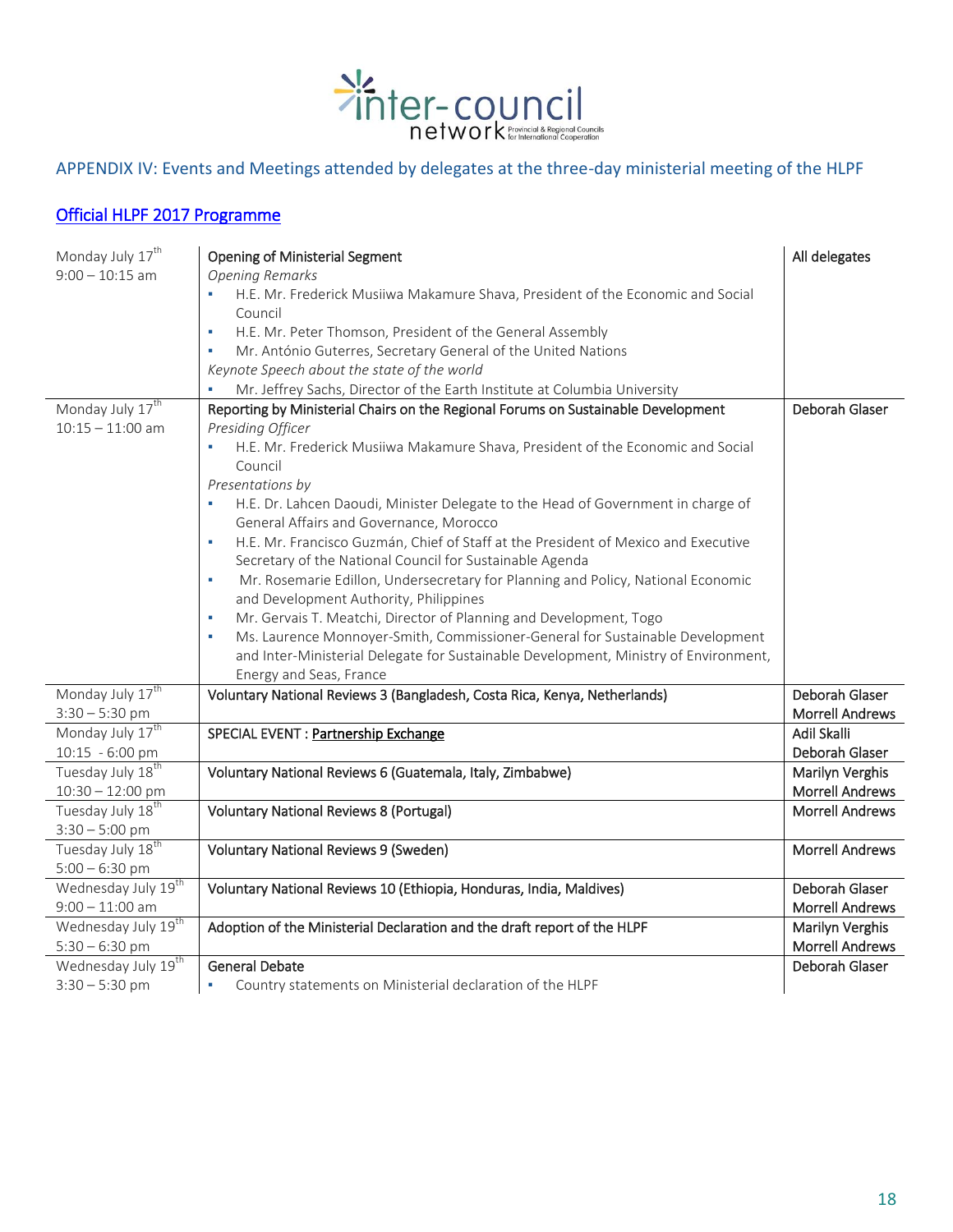

## APPENDIX IV: Events and Meetings attended by delegates at the three-day ministerial meeting of the HLPF

## [Official HLPF 2017 Programme](https://sustainabledevelopment.un.org/content/documents/14678DRAFT_PROGRAMME_HLPF.pdf)

| Monday July 17 <sup>th</sup>    | <b>Opening of Ministerial Segment</b>                                                                                       | All delegates          |
|---------------------------------|-----------------------------------------------------------------------------------------------------------------------------|------------------------|
| $9:00 - 10:15$ am               | <b>Opening Remarks</b>                                                                                                      |                        |
|                                 | H.E. Mr. Frederick Musiiwa Makamure Shava, President of the Economic and Social                                             |                        |
|                                 | Council                                                                                                                     |                        |
|                                 | H.E. Mr. Peter Thomson, President of the General Assembly<br>×                                                              |                        |
|                                 | Mr. António Guterres, Secretary General of the United Nations<br>×                                                          |                        |
|                                 | Keynote Speech about the state of the world                                                                                 |                        |
|                                 | Mr. Jeffrey Sachs, Director of the Earth Institute at Columbia University                                                   |                        |
| Monday July 17 <sup>th</sup>    | Reporting by Ministerial Chairs on the Regional Forums on Sustainable Development                                           | Deborah Glaser         |
| $10:15 - 11:00$ am              | Presiding Officer                                                                                                           |                        |
|                                 | H.E. Mr. Frederick Musiiwa Makamure Shava, President of the Economic and Social<br>Council                                  |                        |
|                                 | Presentations by                                                                                                            |                        |
|                                 | H.E. Dr. Lahcen Daoudi, Minister Delegate to the Head of Government in charge of<br>General Affairs and Governance, Morocco |                        |
|                                 | H.E. Mr. Francisco Guzmán, Chief of Staff at the President of Mexico and Executive                                          |                        |
|                                 | Secretary of the National Council for Sustainable Agenda                                                                    |                        |
|                                 | Mr. Rosemarie Edillon, Undersecretary for Planning and Policy, National Economic<br>×                                       |                        |
|                                 | and Development Authority, Philippines                                                                                      |                        |
|                                 | Mr. Gervais T. Meatchi, Director of Planning and Development, Togo<br>×                                                     |                        |
|                                 | Ms. Laurence Monnoyer-Smith, Commissioner-General for Sustainable Development                                               |                        |
|                                 | and Inter-Ministerial Delegate for Sustainable Development, Ministry of Environment,                                        |                        |
|                                 | Energy and Seas, France                                                                                                     |                        |
| Monday July 17 <sup>th</sup>    | Voluntary National Reviews 3 (Bangladesh, Costa Rica, Kenya, Netherlands)                                                   | Deborah Glaser         |
| $3:30 - 5:30$ pm                |                                                                                                                             | <b>Morrell Andrews</b> |
| Monday July 17 <sup>th</sup>    | SPECIAL EVENT : Partnership Exchange                                                                                        | <b>Adil Skalli</b>     |
| 10:15 - 6:00 pm                 |                                                                                                                             | Deborah Glaser         |
| Tuesday July 18 <sup>th</sup>   | Voluntary National Reviews 6 (Guatemala, Italy, Zimbabwe)                                                                   | Marilyn Verghis        |
| $10:30 - 12:00$ pm              |                                                                                                                             | <b>Morrell Andrews</b> |
| Tuesday July 18 <sup>th</sup>   | <b>Voluntary National Reviews 8 (Portugal)</b>                                                                              | <b>Morrell Andrews</b> |
| $3:30 - 5:00$ pm                |                                                                                                                             |                        |
| Tuesday July 18 <sup>th</sup>   | <b>Voluntary National Reviews 9 (Sweden)</b>                                                                                | <b>Morrell Andrews</b> |
| $5:00 - 6:30$ pm                |                                                                                                                             |                        |
| Wednesday July 19 <sup>th</sup> | Voluntary National Reviews 10 (Ethiopia, Honduras, India, Maldives)                                                         | Deborah Glaser         |
| $9:00 - 11:00$ am               |                                                                                                                             | <b>Morrell Andrews</b> |
| Wednesday July 19 <sup>th</sup> | Adoption of the Ministerial Declaration and the draft report of the HLPF                                                    | Marilyn Verghis        |
| $5:30 - 6:30$ pm                |                                                                                                                             | <b>Morrell Andrews</b> |
| Wednesday July 19 <sup>th</sup> | <b>General Debate</b>                                                                                                       | Deborah Glaser         |
| $3:30 - 5:30$ pm                | Country statements on Ministerial declaration of the HLPF<br>$\blacksquare$                                                 |                        |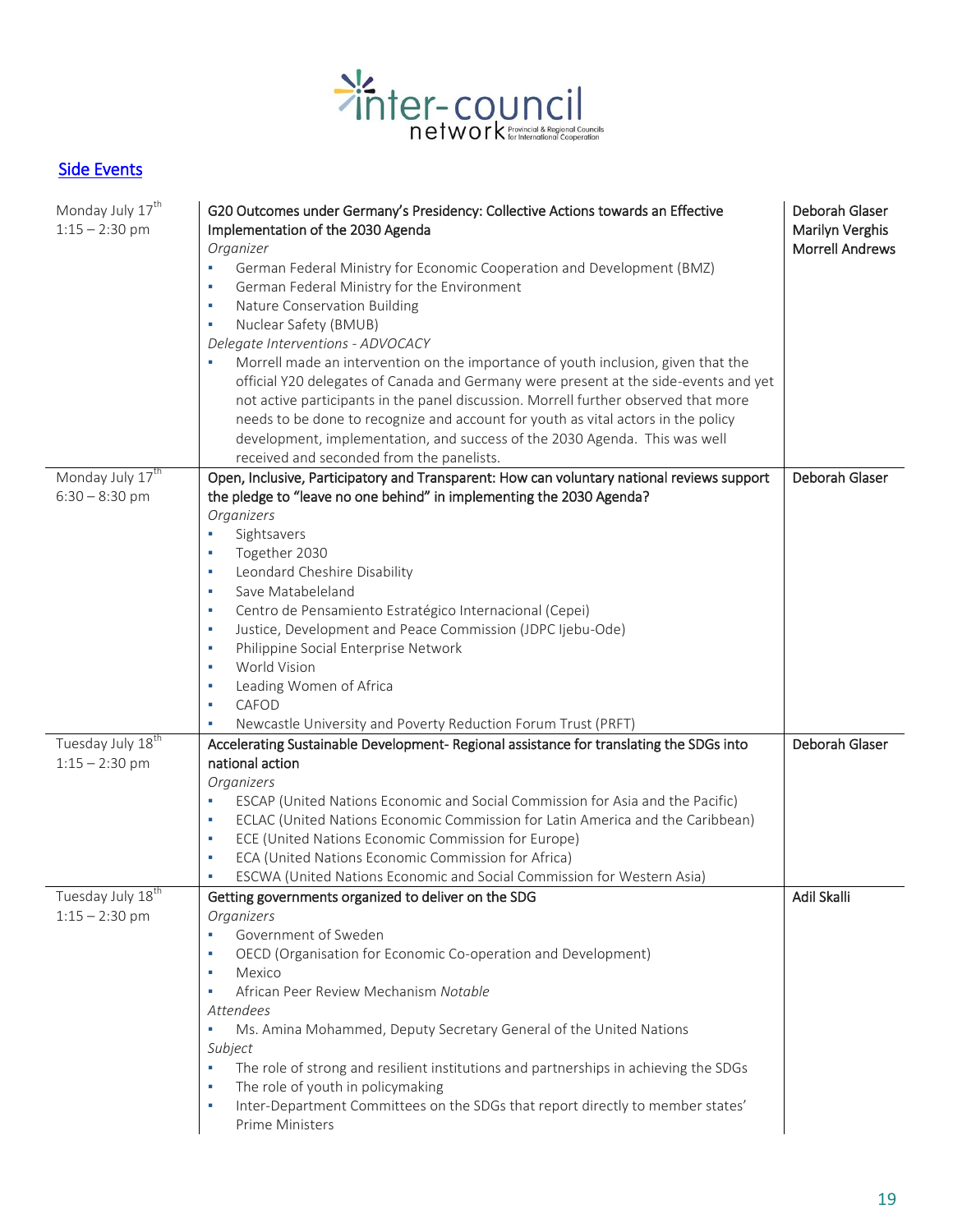

# [Side Events](https://sustainabledevelopment.un.org/content/documents/15986HLPF_2017_Side_Events.pdf)

| Monday July 17 <sup>th</sup><br>$1:15 - 2:30$ pm  | G20 Outcomes under Germany's Presidency: Collective Actions towards an Effective<br>Implementation of the 2030 Agenda<br>Organizer<br>German Federal Ministry for Economic Cooperation and Development (BMZ)<br>٠<br>German Federal Ministry for the Environment<br>٠<br>Nature Conservation Building<br>٠<br>Nuclear Safety (BMUB)<br>٠<br>Delegate Interventions - ADVOCACY<br>Morrell made an intervention on the importance of youth inclusion, given that the<br>official Y20 delegates of Canada and Germany were present at the side-events and yet<br>not active participants in the panel discussion. Morrell further observed that more<br>needs to be done to recognize and account for youth as vital actors in the policy<br>development, implementation, and success of the 2030 Agenda. This was well<br>received and seconded from the panelists. | Deborah Glaser<br>Marilyn Verghis<br><b>Morrell Andrews</b> |
|---------------------------------------------------|-------------------------------------------------------------------------------------------------------------------------------------------------------------------------------------------------------------------------------------------------------------------------------------------------------------------------------------------------------------------------------------------------------------------------------------------------------------------------------------------------------------------------------------------------------------------------------------------------------------------------------------------------------------------------------------------------------------------------------------------------------------------------------------------------------------------------------------------------------------------|-------------------------------------------------------------|
| Monday July 17 <sup>th</sup>                      | Open, Inclusive, Participatory and Transparent: How can voluntary national reviews support                                                                                                                                                                                                                                                                                                                                                                                                                                                                                                                                                                                                                                                                                                                                                                        | Deborah Glaser                                              |
| $6:30 - 8:30$ pm                                  | the pledge to "leave no one behind" in implementing the 2030 Agenda?<br>Organizers<br>Sightsavers<br>×<br>Together 2030<br>٠<br>Leondard Cheshire Disability<br>٠<br>Save Matabeleland<br>٠<br>Centro de Pensamiento Estratégico Internacional (Cepei)<br>ш<br>Justice, Development and Peace Commission (JDPC Ijebu-Ode)<br>ш<br>Philippine Social Enterprise Network<br>٠<br>World Vision<br>٠<br>Leading Women of Africa<br>×<br>CAFOD<br>٠<br>Newcastle University and Poverty Reduction Forum Trust (PRFT)<br>ш                                                                                                                                                                                                                                                                                                                                              |                                                             |
| Tuesday July 18 <sup>th</sup>                     | Accelerating Sustainable Development- Regional assistance for translating the SDGs into                                                                                                                                                                                                                                                                                                                                                                                                                                                                                                                                                                                                                                                                                                                                                                           | Deborah Glaser                                              |
| $1:15 - 2:30$ pm                                  | national action<br>Organizers<br>ESCAP (United Nations Economic and Social Commission for Asia and the Pacific)<br>٠<br>ECLAC (United Nations Economic Commission for Latin America and the Caribbean)<br>٠<br>ECE (United Nations Economic Commission for Europe)<br>٠<br>ECA (United Nations Economic Commission for Africa)<br>٠<br>ESCWA (United Nations Economic and Social Commission for Western Asia)                                                                                                                                                                                                                                                                                                                                                                                                                                                     |                                                             |
| Tuesday July 18 <sup>th</sup><br>$1:15 - 2:30$ pm | Getting governments organized to deliver on the SDG<br>Organizers                                                                                                                                                                                                                                                                                                                                                                                                                                                                                                                                                                                                                                                                                                                                                                                                 | Adil Skalli                                                 |
|                                                   | Government of Sweden<br>×.<br>OECD (Organisation for Economic Co-operation and Development)<br>٠<br>Mexico<br>٠<br>African Peer Review Mechanism Notable<br>Attendees<br>Ms. Amina Mohammed, Deputy Secretary General of the United Nations<br>Subject<br>The role of strong and resilient institutions and partnerships in achieving the SDGs<br>٠<br>The role of youth in policymaking<br>×<br>Inter-Department Committees on the SDGs that report directly to member states'<br>ш<br>Prime Ministers                                                                                                                                                                                                                                                                                                                                                           |                                                             |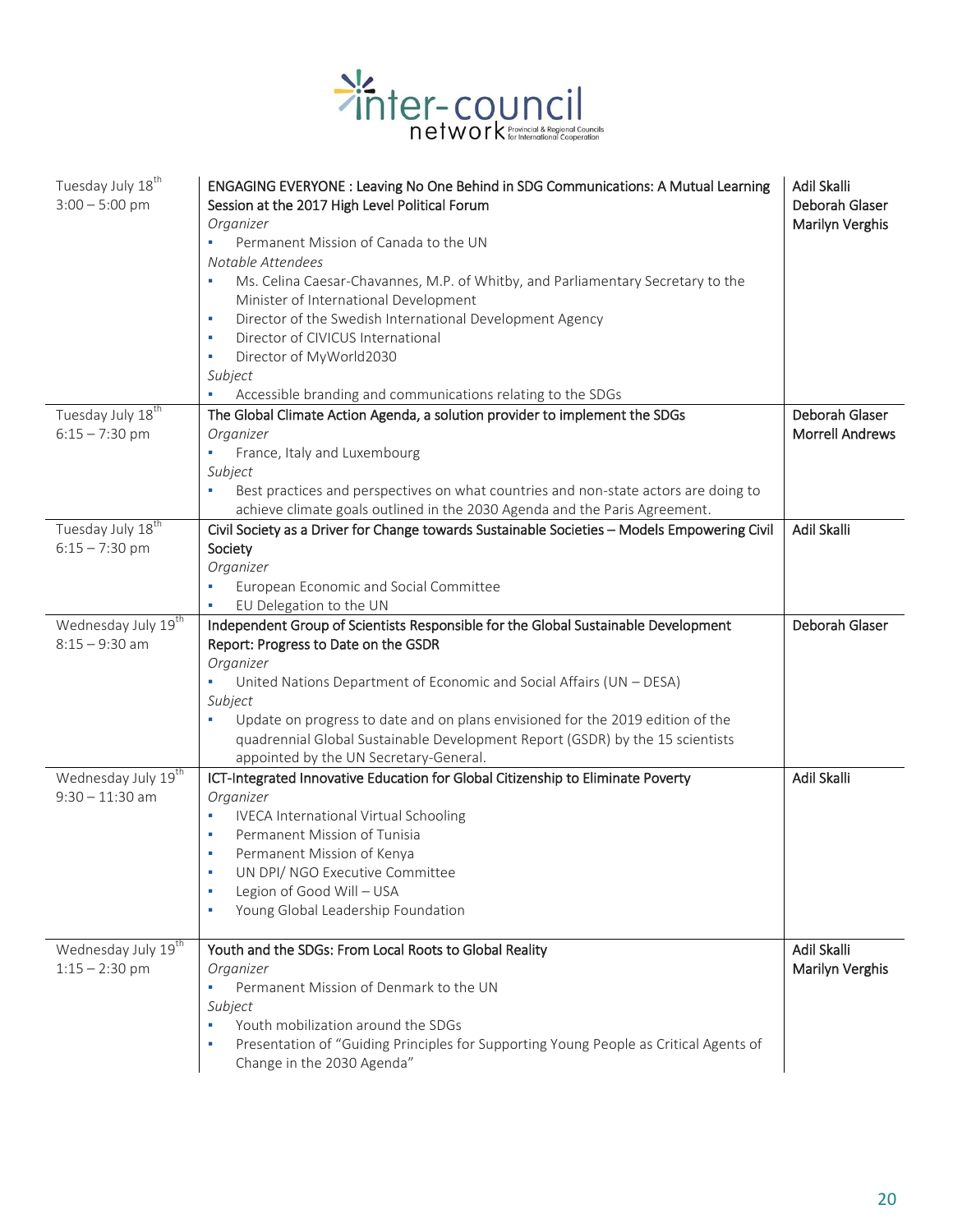

| Tuesday July 18 <sup>th</sup><br>$3:00 - 5:00$ pm   | ENGAGING EVERYONE: Leaving No One Behind in SDG Communications: A Mutual Learning<br>Session at the 2017 High Level Political Forum<br>Organizer<br>Permanent Mission of Canada to the UN<br>ú,<br>Notable Attendees<br>Ms. Celina Caesar-Chavannes, M.P. of Whitby, and Parliamentary Secretary to the<br>×<br>Minister of International Development<br>Director of the Swedish International Development Agency<br>×<br>Director of CIVICUS International<br>Ì.<br>Director of MyWorld2030<br>Ì.<br>Subject<br>Accessible branding and communications relating to the SDGs | Adil Skalli<br>Deborah Glaser<br>Marilyn Verghis |
|-----------------------------------------------------|------------------------------------------------------------------------------------------------------------------------------------------------------------------------------------------------------------------------------------------------------------------------------------------------------------------------------------------------------------------------------------------------------------------------------------------------------------------------------------------------------------------------------------------------------------------------------|--------------------------------------------------|
| Tuesday July 18 <sup>th</sup><br>$6:15 - 7:30$ pm   | The Global Climate Action Agenda, a solution provider to implement the SDGs<br>Organizer<br>France, Italy and Luxembourg<br>Subject<br>Best practices and perspectives on what countries and non-state actors are doing to<br>achieve climate goals outlined in the 2030 Agenda and the Paris Agreement.                                                                                                                                                                                                                                                                     | Deborah Glaser<br><b>Morrell Andrews</b>         |
| Tuesday July 18 <sup>th</sup><br>$6:15 - 7:30$ pm   | Civil Society as a Driver for Change towards Sustainable Societies - Models Empowering Civil<br>Society<br>Organizer<br>European Economic and Social Committee<br>Ì.<br>EU Delegation to the UN<br>٠                                                                                                                                                                                                                                                                                                                                                                         | Adil Skalli                                      |
| Wednesday July 19 <sup>th</sup><br>$8:15 - 9:30$ am | Independent Group of Scientists Responsible for the Global Sustainable Development<br>Report: Progress to Date on the GSDR<br>Organizer<br>United Nations Department of Economic and Social Affairs (UN - DESA)<br>Subject<br>Update on progress to date and on plans envisioned for the 2019 edition of the<br>×<br>quadrennial Global Sustainable Development Report (GSDR) by the 15 scientists<br>appointed by the UN Secretary-General.                                                                                                                                 | Deborah Glaser                                   |
| Wednesday July 19th<br>$9:30 - 11:30$ am            | ICT-Integrated Innovative Education for Global Citizenship to Eliminate Poverty<br>Organizer<br><b>IVECA International Virtual Schooling</b><br>×<br>Permanent Mission of Tunisia<br>×<br>Permanent Mission of Kenya<br>×<br>UN DPI/ NGO Executive Committee<br>Legion of Good Will - USA<br>×<br>Young Global Leadership Foundation<br>×                                                                                                                                                                                                                                    | Adil Skalli                                      |
| Wednesday July 19 <sup>th</sup><br>$1:15 - 2:30$ pm | Youth and the SDGs: From Local Roots to Global Reality<br>Organizer<br>Permanent Mission of Denmark to the UN<br>٠<br>Subject<br>Youth mobilization around the SDGs<br>×<br>Presentation of "Guiding Principles for Supporting Young People as Critical Agents of<br>×<br>Change in the 2030 Agenda"                                                                                                                                                                                                                                                                         | <b>Adil Skalli</b><br>Marilyn Verghis            |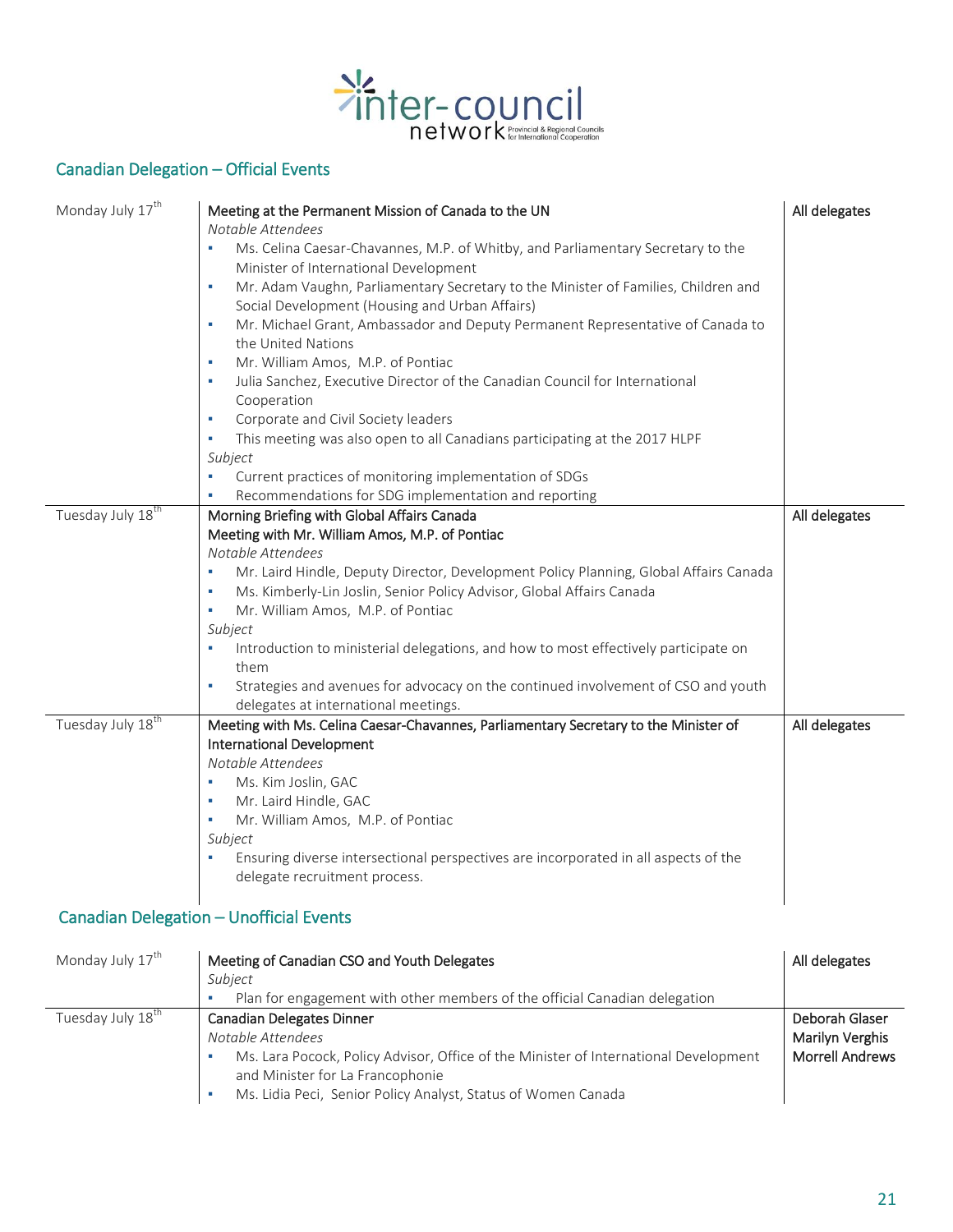

# Canadian Delegation – Official Events

| Monday July 17 <sup>th</sup>  | Meeting at the Permanent Mission of Canada to the UN<br>Notable Attendees<br>Ms. Celina Caesar-Chavannes, M.P. of Whitby, and Parliamentary Secretary to the<br>٠<br>Minister of International Development<br>Mr. Adam Vaughn, Parliamentary Secretary to the Minister of Families, Children and<br>٠<br>Social Development (Housing and Urban Affairs)<br>Mr. Michael Grant, Ambassador and Deputy Permanent Representative of Canada to<br>٠<br>the United Nations<br>Mr. William Amos, M.P. of Pontiac<br>٠<br>Julia Sanchez, Executive Director of the Canadian Council for International<br>×<br>Cooperation<br>Corporate and Civil Society leaders<br>٠<br>This meeting was also open to all Canadians participating at the 2017 HLPF<br>٠<br>Subject | All delegates |
|-------------------------------|-------------------------------------------------------------------------------------------------------------------------------------------------------------------------------------------------------------------------------------------------------------------------------------------------------------------------------------------------------------------------------------------------------------------------------------------------------------------------------------------------------------------------------------------------------------------------------------------------------------------------------------------------------------------------------------------------------------------------------------------------------------|---------------|
|                               | Current practices of monitoring implementation of SDGs<br>×                                                                                                                                                                                                                                                                                                                                                                                                                                                                                                                                                                                                                                                                                                 |               |
| Tuesday July 18 <sup>th</sup> | Recommendations for SDG implementation and reporting<br>Morning Briefing with Global Affairs Canada<br>Meeting with Mr. William Amos, M.P. of Pontiac<br>Notable Attendees<br>Mr. Laird Hindle, Deputy Director, Development Policy Planning, Global Affairs Canada<br>٠<br>Ms. Kimberly-Lin Joslin, Senior Policy Advisor, Global Affairs Canada<br>٠<br>Mr. William Amos, M.P. of Pontiac<br>×<br>Subject<br>Introduction to ministerial delegations, and how to most effectively participate on<br>٠<br>them<br>Strategies and avenues for advocacy on the continued involvement of CSO and youth<br>٠<br>delegates at international meetings.                                                                                                           | All delegates |
| Tuesday July 18 <sup>th</sup> | Meeting with Ms. Celina Caesar-Chavannes, Parliamentary Secretary to the Minister of<br><b>International Development</b><br>Notable Attendees<br>Ms. Kim Joslin, GAC<br>٠<br>Mr. Laird Hindle, GAC<br>٠<br>Mr. William Amos, M.P. of Pontiac<br>٠<br>Subject<br>Ensuring diverse intersectional perspectives are incorporated in all aspects of the<br>delegate recruitment process.                                                                                                                                                                                                                                                                                                                                                                        | All delegates |

## Canadian Delegation – Unofficial Events

| Monday July 17 <sup>th</sup> | Meeting of Canadian CSO and Youth Delegates                                                                              | All delegates          |
|------------------------------|--------------------------------------------------------------------------------------------------------------------------|------------------------|
|                              | Subiect                                                                                                                  |                        |
|                              | Plan for engagement with other members of the official Canadian delegation                                               |                        |
| Tuesday July 18th            | <b>Canadian Delegates Dinner</b>                                                                                         | Deborah Glaser         |
|                              | Notable Attendees                                                                                                        | Marilyn Verghis        |
|                              | Ms. Lara Pocock, Policy Advisor, Office of the Minister of International Development<br>and Minister for La Francophonie | <b>Morrell Andrews</b> |
|                              | Ms. Lidia Peci, Senior Policy Analyst, Status of Women Canada                                                            |                        |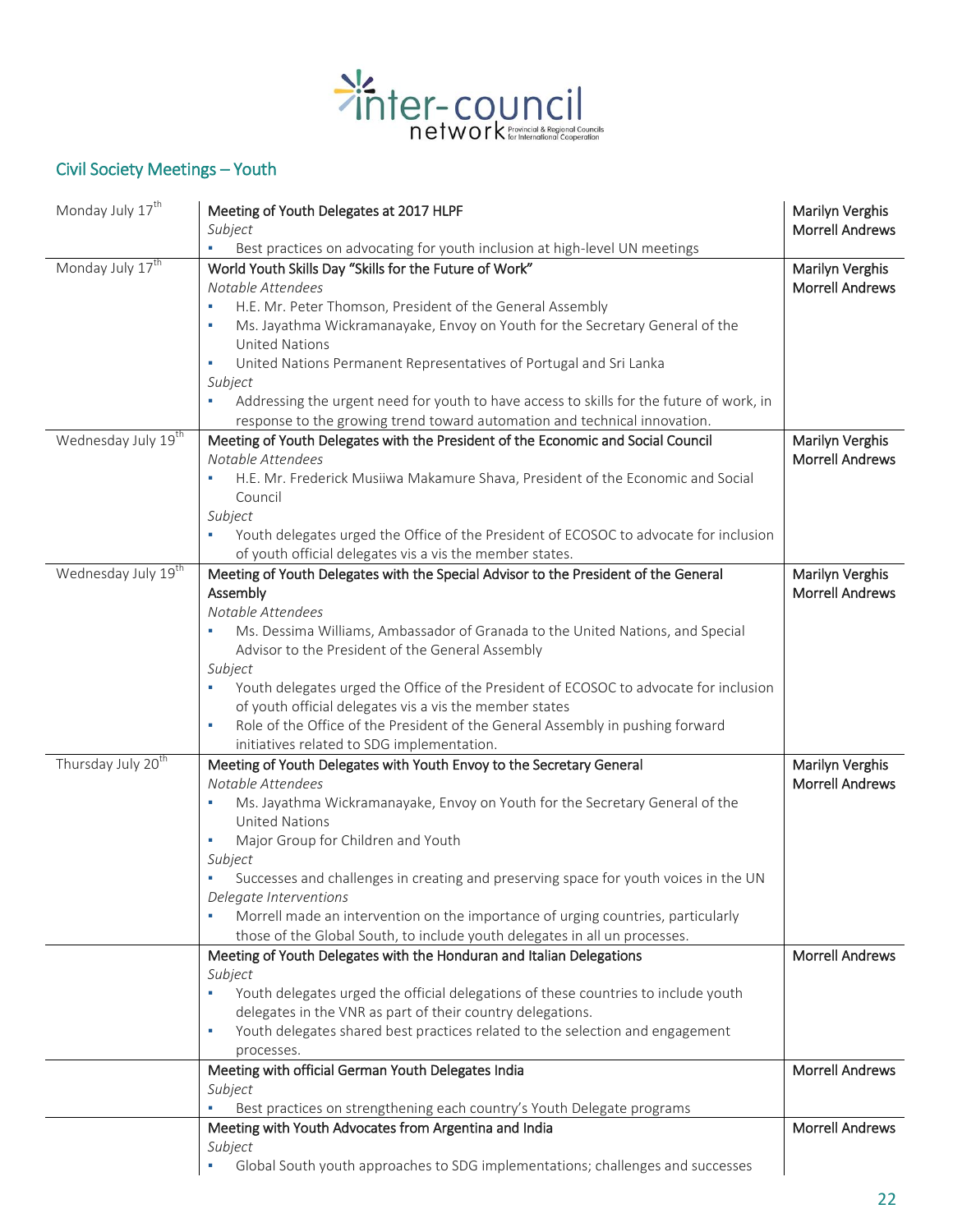

# Civil Society Meetings – Youth

| Monday July 17 <sup>th</sup>    | Meeting of Youth Delegates at 2017 HLPF<br>Subject                                                                                               | Marilyn Verghis<br><b>Morrell Andrews</b> |
|---------------------------------|--------------------------------------------------------------------------------------------------------------------------------------------------|-------------------------------------------|
|                                 | Best practices on advocating for youth inclusion at high-level UN meetings<br>×.                                                                 |                                           |
| Monday July 17 <sup>th</sup>    | World Youth Skills Day "Skills for the Future of Work"                                                                                           | Marilyn Verghis                           |
|                                 | Notable Attendees                                                                                                                                | <b>Morrell Andrews</b>                    |
|                                 | H.E. Mr. Peter Thomson, President of the General Assembly<br>٠                                                                                   |                                           |
|                                 | Ms. Jayathma Wickramanayake, Envoy on Youth for the Secretary General of the<br>٠                                                                |                                           |
|                                 | <b>United Nations</b>                                                                                                                            |                                           |
|                                 | United Nations Permanent Representatives of Portugal and Sri Lanka<br>٠                                                                          |                                           |
|                                 | Subject                                                                                                                                          |                                           |
|                                 | Addressing the urgent need for youth to have access to skills for the future of work, in                                                         |                                           |
|                                 | response to the growing trend toward automation and technical innovation.                                                                        |                                           |
| Wednesday July 19 <sup>th</sup> | Meeting of Youth Delegates with the President of the Economic and Social Council                                                                 | Marilyn Verghis                           |
|                                 | Notable Attendees                                                                                                                                | <b>Morrell Andrews</b>                    |
|                                 | H.E. Mr. Frederick Musiiwa Makamure Shava, President of the Economic and Social                                                                  |                                           |
|                                 | Council                                                                                                                                          |                                           |
|                                 | Subject                                                                                                                                          |                                           |
|                                 | Youth delegates urged the Office of the President of ECOSOC to advocate for inclusion                                                            |                                           |
|                                 | of youth official delegates vis a vis the member states.                                                                                         |                                           |
| Wednesday July 19 <sup>th</sup> | Meeting of Youth Delegates with the Special Advisor to the President of the General                                                              | Marilyn Verghis                           |
|                                 | Assembly                                                                                                                                         | <b>Morrell Andrews</b>                    |
|                                 | Notable Attendees                                                                                                                                |                                           |
|                                 | Ms. Dessima Williams, Ambassador of Granada to the United Nations, and Special<br>Advisor to the President of the General Assembly               |                                           |
|                                 | Subject                                                                                                                                          |                                           |
|                                 | Youth delegates urged the Office of the President of ECOSOC to advocate for inclusion                                                            |                                           |
|                                 | of youth official delegates vis a vis the member states                                                                                          |                                           |
|                                 | Role of the Office of the President of the General Assembly in pushing forward<br>٠                                                              |                                           |
|                                 | initiatives related to SDG implementation.                                                                                                       |                                           |
| Thursday July 20 <sup>th</sup>  | Meeting of Youth Delegates with Youth Envoy to the Secretary General                                                                             | Marilyn Verghis                           |
|                                 | Notable Attendees                                                                                                                                | <b>Morrell Andrews</b>                    |
|                                 | Ms. Jayathma Wickramanayake, Envoy on Youth for the Secretary General of the                                                                     |                                           |
|                                 | <b>United Nations</b>                                                                                                                            |                                           |
|                                 | Major Group for Children and Youth<br>×                                                                                                          |                                           |
|                                 | Subject                                                                                                                                          |                                           |
|                                 | Successes and challenges in creating and preserving space for youth voices in the UN                                                             |                                           |
|                                 | Delegate Interventions                                                                                                                           |                                           |
|                                 | Morrell made an intervention on the importance of urging countries, particularly                                                                 |                                           |
|                                 | those of the Global South, to include youth delegates in all un processes.                                                                       |                                           |
|                                 | Meeting of Youth Delegates with the Honduran and Italian Delegations                                                                             | <b>Morrell Andrews</b>                    |
|                                 | Subject<br>٠                                                                                                                                     |                                           |
|                                 | Youth delegates urged the official delegations of these countries to include youth<br>delegates in the VNR as part of their country delegations. |                                           |
|                                 | Youth delegates shared best practices related to the selection and engagement<br>٠                                                               |                                           |
|                                 | processes.                                                                                                                                       |                                           |
|                                 | Meeting with official German Youth Delegates India                                                                                               | <b>Morrell Andrews</b>                    |
|                                 | Subject                                                                                                                                          |                                           |
|                                 | Best practices on strengthening each country's Youth Delegate programs                                                                           |                                           |
|                                 | Meeting with Youth Advocates from Argentina and India                                                                                            | <b>Morrell Andrews</b>                    |
|                                 | Subject                                                                                                                                          |                                           |
|                                 | Global South youth approaches to SDG implementations; challenges and successes                                                                   |                                           |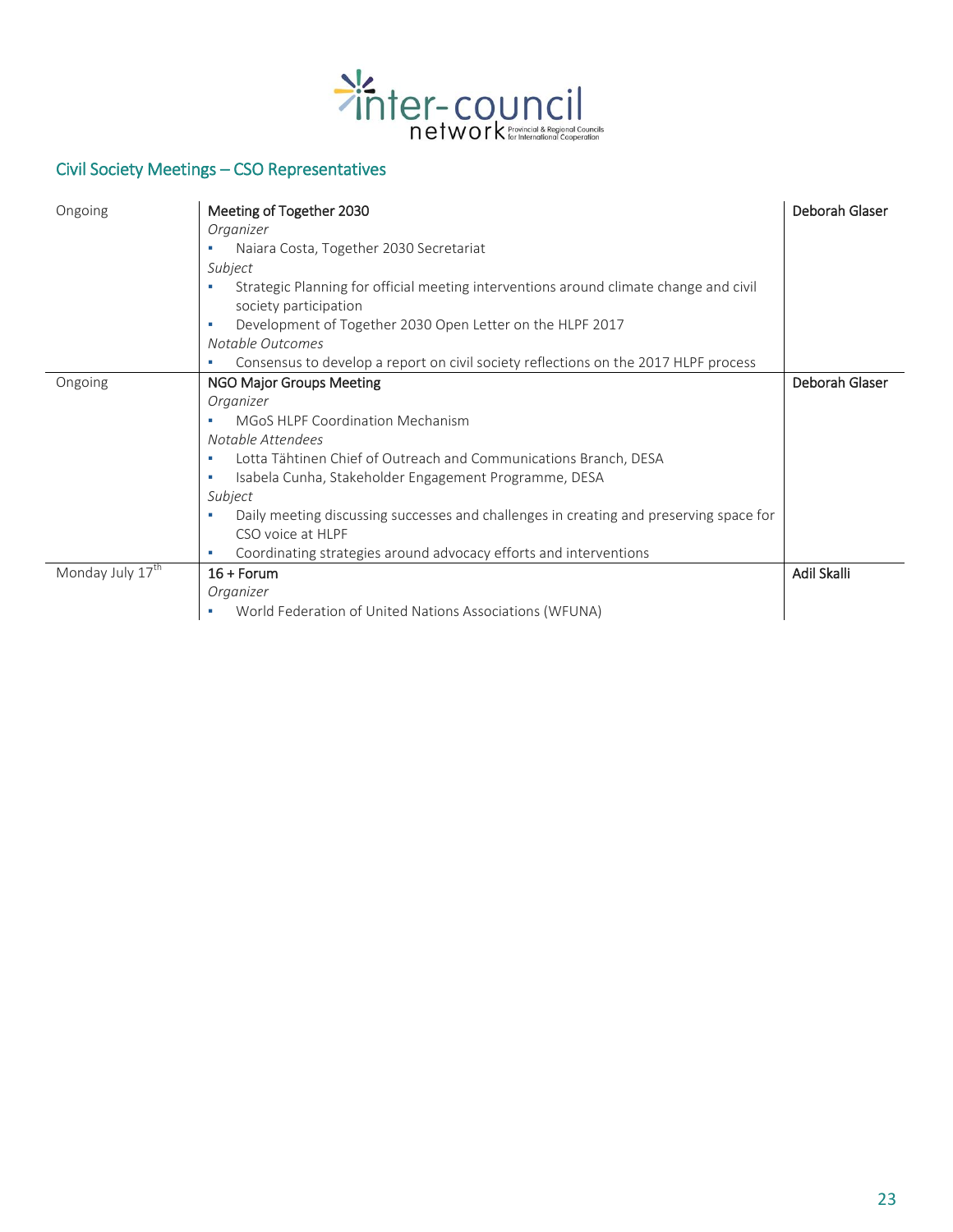

# Civil Society Meetings – CSO Representatives

| Ongoing                      | Meeting of Together 2030                                                                    | Deborah Glaser |
|------------------------------|---------------------------------------------------------------------------------------------|----------------|
|                              | Organizer                                                                                   |                |
|                              | Naiara Costa, Together 2030 Secretariat                                                     |                |
|                              | Subject                                                                                     |                |
|                              | Strategic Planning for official meeting interventions around climate change and civil       |                |
|                              | society participation                                                                       |                |
|                              | Development of Together 2030 Open Letter on the HLPF 2017<br>п                              |                |
|                              | Notable Outcomes                                                                            |                |
|                              | Consensus to develop a report on civil society reflections on the 2017 HLPF process         |                |
| Ongoing                      | <b>NGO Major Groups Meeting</b>                                                             | Deborah Glaser |
|                              | Organizer                                                                                   |                |
|                              | <b>MGoS HLPF Coordination Mechanism</b>                                                     |                |
|                              | Notable Attendees                                                                           |                |
|                              | Lotta Tähtinen Chief of Outreach and Communications Branch, DESA<br>٠                       |                |
|                              | Isabela Cunha, Stakeholder Engagement Programme, DESA<br>п                                  |                |
|                              | Subject                                                                                     |                |
|                              | Daily meeting discussing successes and challenges in creating and preserving space for<br>٠ |                |
|                              | CSO voice at HLPF                                                                           |                |
|                              | Coordinating strategies around advocacy efforts and interventions<br>ш                      |                |
| Monday July 17 <sup>th</sup> | $16 +$ Forum                                                                                | Adil Skalli    |
|                              | Organizer                                                                                   |                |
|                              | World Federation of United Nations Associations (WFUNA)                                     |                |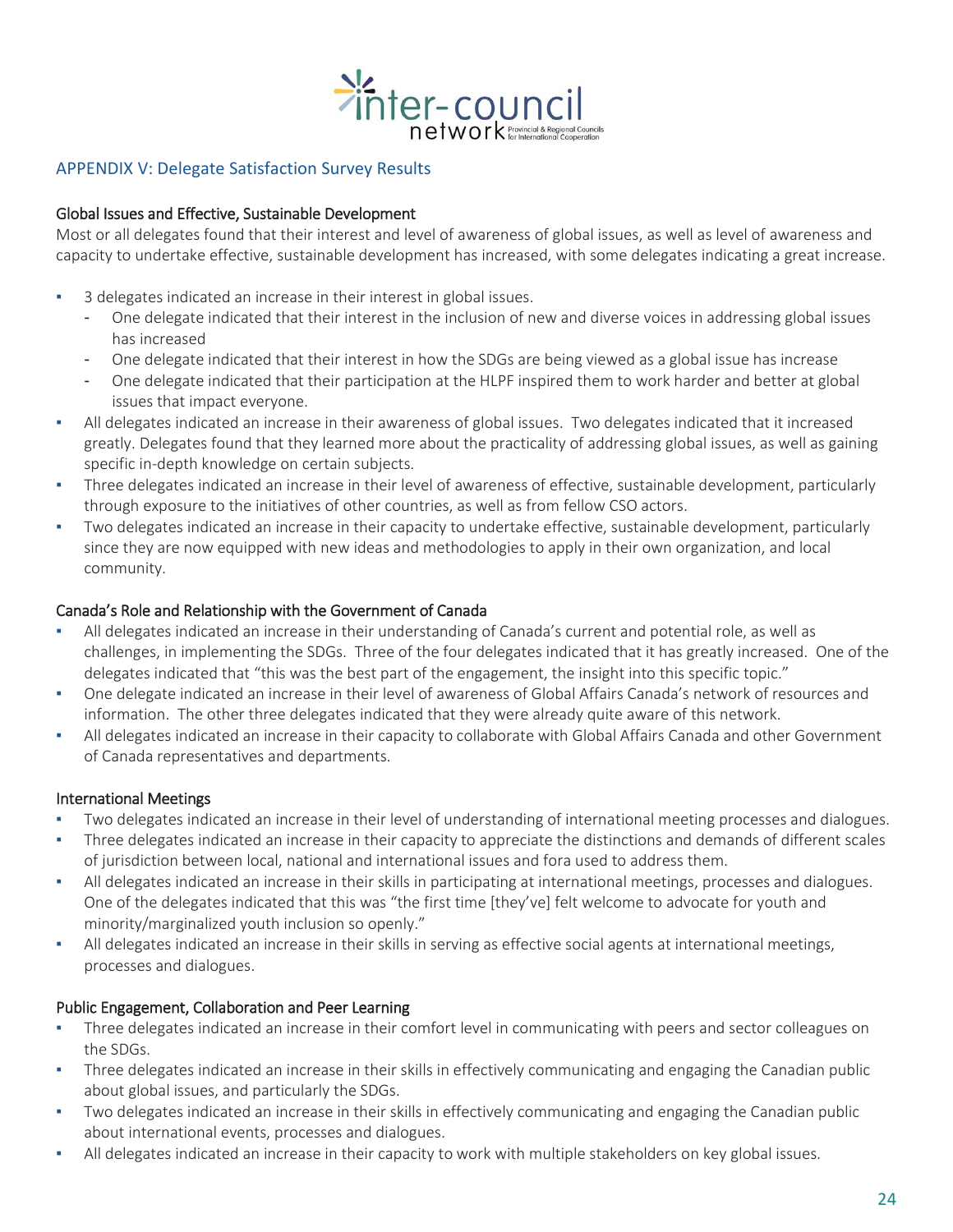

### APPENDIX V: Delegate Satisfaction Survey Results

#### Global Issues and Effective, Sustainable Development

Most or all delegates found that their interest and level of awareness of global issues, as well as level of awareness and capacity to undertake effective, sustainable development has increased, with some delegates indicating a great increase.

- 3 delegates indicated an increase in their interest in global issues.
	- One delegate indicated that their interest in the inclusion of new and diverse voices in addressing global issues has increased
	- One delegate indicated that their interest in how the SDGs are being viewed as a global issue has increase
	- One delegate indicated that their participation at the HLPF inspired them to work harder and better at global issues that impact everyone.
- All delegates indicated an increase in their awareness of global issues. Two delegates indicated that it increased greatly. Delegates found that they learned more about the practicality of addressing global issues, as well as gaining specific in-depth knowledge on certain subjects.
- Three delegates indicated an increase in their level of awareness of effective, sustainable development, particularly through exposure to the initiatives of other countries, as well as from fellow CSO actors.
- Two delegates indicated an increase in their capacity to undertake effective, sustainable development, particularly since they are now equipped with new ideas and methodologies to apply in their own organization, and local community.

#### Canada's Role and Relationship with the Government of Canada

- All delegates indicated an increase in their understanding of Canada's current and potential role, as well as challenges, in implementing the SDGs. Three of the four delegates indicated that it has greatly increased. One of the delegates indicated that "this was the best part of the engagement, the insight into this specific topic."
- One delegate indicated an increase in their level of awareness of Global Affairs Canada's network of resources and information. The other three delegates indicated that they were already quite aware of this network.
- All delegates indicated an increase in their capacity to collaborate with Global Affairs Canada and other Government of Canada representatives and departments.

#### International Meetings

- Two delegates indicated an increase in their level of understanding of international meeting processes and dialogues.
- Three delegates indicated an increase in their capacity to appreciate the distinctions and demands of different scales of jurisdiction between local, national and international issues and fora used to address them.
- All delegates indicated an increase in their skills in participating at international meetings, processes and dialogues. One of the delegates indicated that this was "the first time [they've] felt welcome to advocate for youth and minority/marginalized youth inclusion so openly."
- All delegates indicated an increase in their skills in serving as effective social agents at international meetings, processes and dialogues.

#### Public Engagement, Collaboration and Peer Learning

- Three delegates indicated an increase in their comfort level in communicating with peers and sector colleagues on the SDGs.
- Three delegates indicated an increase in their skills in effectively communicating and engaging the Canadian public about global issues, and particularly the SDGs.
- Two delegates indicated an increase in their skills in effectively communicating and engaging the Canadian public about international events, processes and dialogues.
- All delegates indicated an increase in their capacity to work with multiple stakeholders on key global issues.